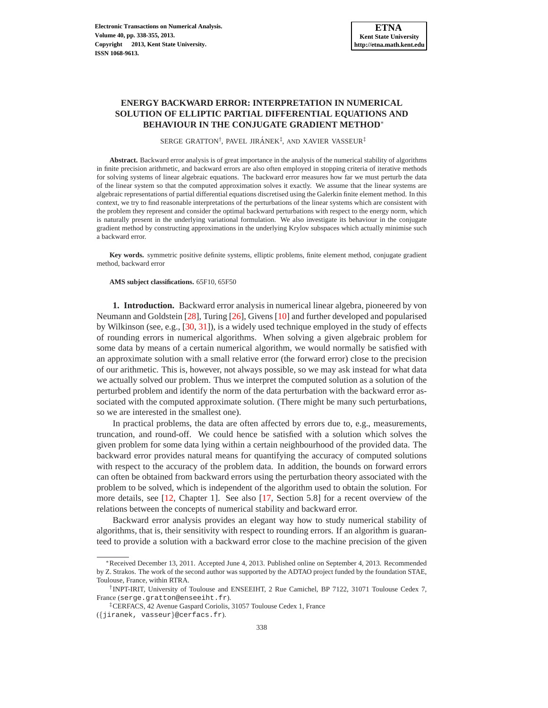# **ENERGY BACKWARD ERROR: INTERPRETATION IN NUMERICAL SOLUTION OF ELLIPTIC PARTIAL DIFFERENTIAL EQUATIONS AND BEHAVIOUR IN THE CONJUGATE GRADIENT METHOD**<sup>∗</sup>

SERGE GRATTON<sup>†</sup>, PAVEL JIRÁNEK<sup>‡</sup>, AND XAVIER VASSEUR<sup>‡</sup>

**Abstract.** Backward error analysis is of great importance in the analysis of the numerical stability of algorithms in finite precision arithmetic, and backward errors are also often employed in stopping criteria of iterative methods for solving systems of linear algebraic equations. The backward error measures how far we must perturb the data of the linear system so that the computed approximation solves it exactly. We assume that the linear systems are algebraic representations of partial differential equations discretised using the Galerkin finite element method. In this context, we try to find reasonable interpretations of the perturbations of the linear systems which are consistent with the problem they represent and consider the optimal backward perturbations with respect to the energy norm, which is naturally present in the underlying variational formulation. We also investigate its behaviour in the conjugate gradient method by constructing approximations in the underlying Krylov subspaces which actually minimise such a backward error.

**Key words.** symmetric positive definite systems, elliptic problems, finite element method, conjugate gradient method, backward error

**AMS subject classifications.** 65F10, 65F50

**1. Introduction.** Backward error analysis in numerical linear algebra, pioneered by von Neumann and Goldstein [\[28\]](#page-17-0), Turing [\[26\]](#page-17-1), Givens [\[10\]](#page-16-0) and further developed and popularised by Wilkinson (see, e.g., [\[30,](#page-17-2) [31\]](#page-17-3)), is a widely used technique employed in the study of effects of rounding errors in numerical algorithms. When solving a given algebraic problem for some data by means of a certain numerical algorithm, we would normally be satisfied with an approximate solution with a small relative error (the forward error) close to the precision of our arithmetic. This is, however, not always possible, so we may ask instead for what data we actually solved our problem. Thus we interpret the computed solution as a solution of the perturbed problem and identify the norm of the data perturbation with the backward error associated with the computed approximate solution. (There might be many such perturbations, so we are interested in the smallest one).

In practical problems, the data are often affected by errors due to, e.g., measurements, truncation, and round-off. We could hence be satisfied with a solution which solves the given problem for some data lying within a certain neighbourhood of the provided data. The backward error provides natural means for quantifying the accuracy of computed solutions with respect to the accuracy of the problem data. In addition, the bounds on forward errors can often be obtained from backward errors using the perturbation theory associated with the problem to be solved, which is independent of the algorithm used to obtain the solution. For more details, see [\[12,](#page-17-4) Chapter 1]. See also [\[17,](#page-17-5) Section 5.8] for a recent overview of the relations between the concepts of numerical stability and backward error.

Backward error analysis provides an elegant way how to study numerical stability of algorithms, that is, their sensitivity with respect to rounding errors. If an algorithm is guaranteed to provide a solution with a backward error close to the machine precision of the given

<sup>∗</sup>Received December 13, 2011. Accepted June 4, 2013. Published online on September 4, 2013. Recommended by Z. Strakos. The work of the second author was supported by the ADTAO project funded by the foundation STAE, Toulouse, France, within RTRA.

<sup>†</sup> INPT-IRIT, University of Toulouse and ENSEEIHT, 2 Rue Camichel, BP 7122, 31071 Toulouse Cedex 7, France (serge.gratton@enseeiht.fr).

<sup>‡</sup>CERFACS, 42 Avenue Gaspard Coriolis, 31057 Toulouse Cedex 1, France

<sup>(</sup>{jiranek, vasseur}@cerfacs.fr).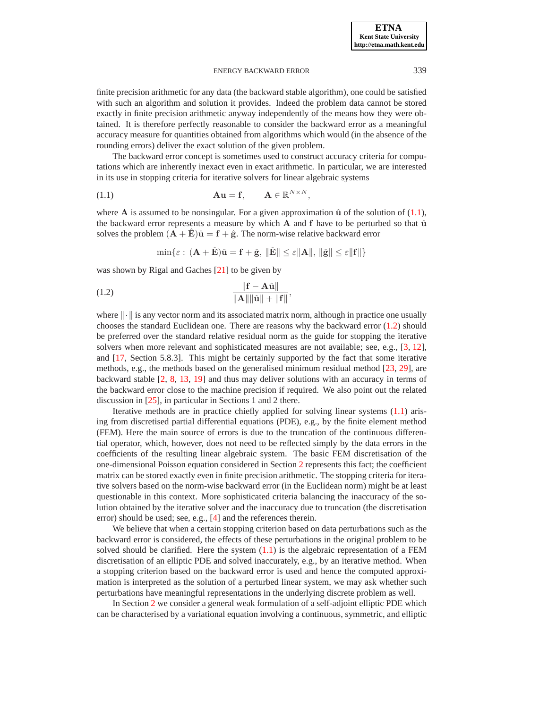finite precision arithmetic for any data (the backward stable algorithm), one could be satisfied with such an algorithm and solution it provides. Indeed the problem data cannot be stored exactly in finite precision arithmetic anyway independently of the means how they were obtained. It is therefore perfectly reasonable to consider the backward error as a meaningful accuracy measure for quantities obtained from algorithms which would (in the absence of the rounding errors) deliver the exact solution of the given problem.

The backward error concept is sometimes used to construct accuracy criteria for computations which are inherently inexact even in exact arithmetic. In particular, we are interested in its use in stopping criteria for iterative solvers for linear algebraic systems

(1.1) 
$$
\mathbf{A}\mathbf{u} = \mathbf{f}, \qquad \mathbf{A} \in \mathbb{R}^{N \times N},
$$

where A is assumed to be nonsingular. For a given approximation  $\hat{u}$  of the solution of [\(1.1\)](#page-1-0), the backward error represents a measure by which  $A$  and  $f$  have to be perturbed so that  $\hat{u}$ solves the problem  $(A + \hat{E})\hat{u} = f + \hat{g}$ . The norm-wise relative backward error

<span id="page-1-1"></span>
$$
\min\{\varepsilon: \, (\mathbf{A} + \hat{\mathbf{E}})\hat{\mathbf{u}} = \mathbf{f} + \hat{\mathbf{g}}, \, \|\hat{\mathbf{E}}\| \le \varepsilon \|\mathbf{A}\|, \, \|\hat{\mathbf{g}}\| \le \varepsilon \|\mathbf{f}\|\}
$$

was shown by Rigal and Gaches [\[21\]](#page-17-6) to be given by

$$
\frac{\|\mathbf{f} - \mathbf{A}\hat{\mathbf{u}}\|}{\|\mathbf{A}\| \|\hat{\mathbf{u}}\| + \|\mathbf{f}\|},
$$

where  $\|\cdot\|$  is any vector norm and its associated matrix norm, although in practice one usually chooses the standard Euclidean one. There are reasons why the backward error [\(1.2\)](#page-1-1) should be preferred over the standard relative residual norm as the guide for stopping the iterative solvers when more relevant and sophisticated measures are not available; see, e.g., [\[3,](#page-16-1) [12\]](#page-17-4), and [\[17,](#page-17-5) Section 5.8.3]. This might be certainly supported by the fact that some iterative methods, e.g., the methods based on the generalised minimum residual method [\[23,](#page-17-7) [29\]](#page-17-8), are backward stable [\[2,](#page-16-2) [8,](#page-16-3) [13,](#page-17-9) [19\]](#page-17-10) and thus may deliver solutions with an accuracy in terms of the backward error close to the machine precision if required. We also point out the related discussion in [\[25\]](#page-17-11), in particular in Sections 1 and 2 there.

Iterative methods are in practice chiefly applied for solving linear systems [\(1.1\)](#page-1-0) arising from discretised partial differential equations (PDE), e.g., by the finite element method (FEM). Here the main source of errors is due to the truncation of the continuous differential operator, which, however, does not need to be reflected simply by the data errors in the coefficients of the resulting linear algebraic system. The basic FEM discretisation of the one-dimensional Poisson equation considered in Section [2](#page-2-0) represents this fact; the coefficient matrix can be stored exactly even in finite precision arithmetic. The stopping criteria for iterative solvers based on the norm-wise backward error (in the Euclidean norm) might be at least questionable in this context. More sophisticated criteria balancing the inaccuracy of the solution obtained by the iterative solver and the inaccuracy due to truncation (the discretisation error) should be used; see, e.g., [\[4\]](#page-16-4) and the references therein.

We believe that when a certain stopping criterion based on data perturbations such as the backward error is considered, the effects of these perturbations in the original problem to be solved should be clarified. Here the system  $(1.1)$  is the algebraic representation of a FEM discretisation of an elliptic PDE and solved inaccurately, e.g., by an iterative method. When a stopping criterion based on the backward error is used and hence the computed approximation is interpreted as the solution of a perturbed linear system, we may ask whether such perturbations have meaningful representations in the underlying discrete problem as well.

In Section [2](#page-2-0) we consider a general weak formulation of a self-adjoint elliptic PDE which can be characterised by a variational equation involving a continuous, symmetric, and elliptic

<span id="page-1-0"></span>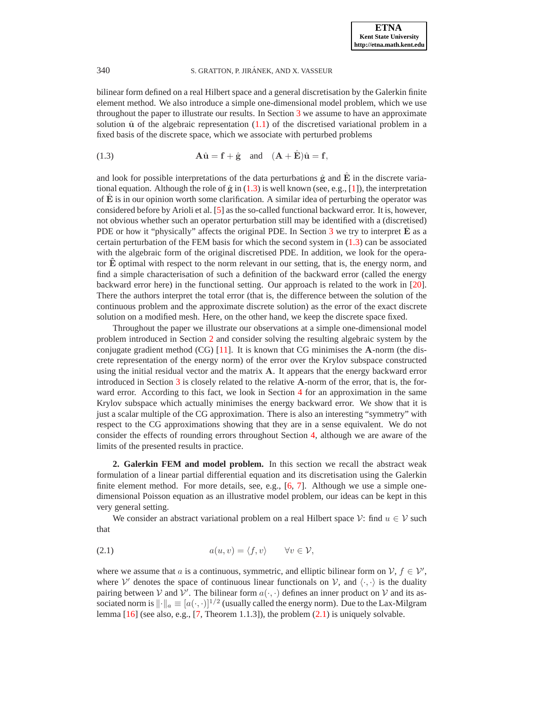bilinear form defined on a real Hilbert space and a general discretisation by the Galerkin finite element method. We also introduce a simple one-dimensional model problem, which we use throughout the paper to illustrate our results. In Section [3](#page-4-0) we assume to have an approximate solution  $\hat{u}$  of the algebraic representation [\(1.1\)](#page-1-0) of the discretised variational problem in a fixed basis of the discrete space, which we associate with perturbed problems

<span id="page-2-1"></span>(1.3) 
$$
\mathbf{A}\hat{\mathbf{u}} = \mathbf{f} + \hat{\mathbf{g}} \quad \text{and} \quad (\mathbf{A} + \hat{\mathbf{E}})\hat{\mathbf{u}} = \mathbf{f},
$$

and look for possible interpretations of the data perturbations  $\hat{g}$  and  $\hat{E}$  in the discrete variational equation. Although the role of  $\hat{g}$  in [\(1.3\)](#page-2-1) is well known (see, e.g., [\[1\]](#page-16-5)), the interpretation of  $E$  is in our opinion worth some clarification. A similar idea of perturbing the operator was considered before by Arioli et al. [\[5\]](#page-16-6) as the so-called functional backward error. It is, however, not obvious whether such an operator perturbation still may be identified with a (discretised) PDE or how it "physically" affects the original PDE. In Section  $3$  we try to interpret  $E$  as a certain perturbation of the FEM basis for which the second system in  $(1.3)$  can be associated with the algebraic form of the original discretised PDE. In addition, we look for the operator E optimal with respect to the norm relevant in our setting, that is, the energy norm, and find a simple characterisation of such a definition of the backward error (called the energy backward error here) in the functional setting. Our approach is related to the work in [\[20\]](#page-17-12). There the authors interpret the total error (that is, the difference between the solution of the continuous problem and the approximate discrete solution) as the error of the exact discrete solution on a modified mesh. Here, on the other hand, we keep the discrete space fixed.

Throughout the paper we illustrate our observations at a simple one-dimensional model problem introduced in Section [2](#page-2-0) and consider solving the resulting algebraic system by the conjugate gradient method (CG)  $[11]$ . It is known that CG minimises the A-norm (the discrete representation of the energy norm) of the error over the Krylov subspace constructed using the initial residual vector and the matrix  $A$ . It appears that the energy backward error introduced in Section [3](#page-4-0) is closely related to the relative A-norm of the error, that is, the forward error. According to this fact, we look in Section [4](#page-10-0) for an approximation in the same Krylov subspace which actually minimises the energy backward error. We show that it is just a scalar multiple of the CG approximation. There is also an interesting "symmetry" with respect to the CG approximations showing that they are in a sense equivalent. We do not consider the effects of rounding errors throughout Section [4,](#page-10-0) although we are aware of the limits of the presented results in practice.

<span id="page-2-0"></span>**2. Galerkin FEM and model problem.** In this section we recall the abstract weak formulation of a linear partial differential equation and its discretisation using the Galerkin finite element method. For more details, see, e.g., [\[6,](#page-16-7) [7\]](#page-16-8). Although we use a simple onedimensional Poisson equation as an illustrative model problem, our ideas can be kept in this very general setting.

We consider an abstract variational problem on a real Hilbert space  $\mathcal{V}$ : find  $u \in \mathcal{V}$  such that

(2.1) 
$$
a(u,v) = \langle f, v \rangle \quad \forall v \in \mathcal{V},
$$

where we assume that a is a continuous, symmetric, and elliptic bilinear form on  $V, f \in V'$ , where  $V'$  denotes the space of continuous linear functionals on  $V$ , and  $\langle \cdot, \cdot \rangle$  is the duality pairing between V and V'. The bilinear form  $a(\cdot, \cdot)$  defines an inner product on V and its associated norm is  $\|\cdot\|_a \equiv [a(\cdot,\cdot)]^{1/2}$  (usually called the energy norm). Due to the Lax-Milgram lemma  $[16]$  (see also, e.g.,  $[7]$ , Theorem 1.1.3]), the problem  $(2.1)$  is uniquely solvable.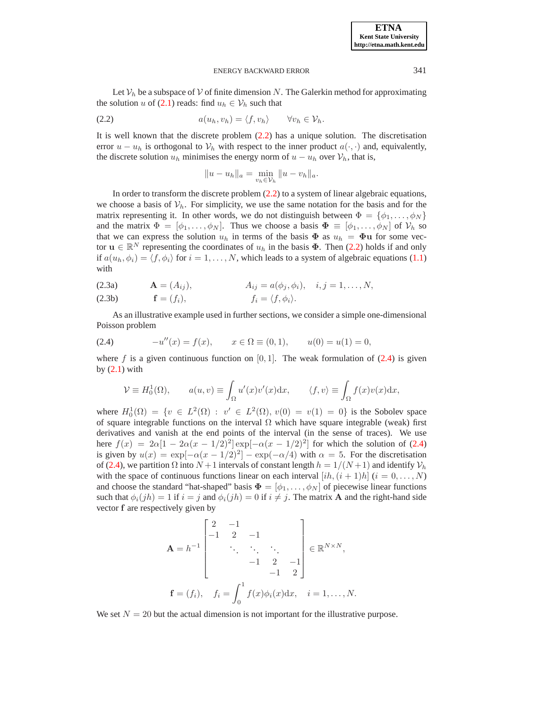Let  $\mathcal{V}_h$  be a subspace of  $\mathcal V$  of finite dimension N. The Galerkin method for approximating the solution u of [\(2.1\)](#page-3-0) reads: find  $u_h \in V_h$  such that

(2.2) 
$$
a(u_h, v_h) = \langle f, v_h \rangle \qquad \forall v_h \in \mathcal{V}_h.
$$

It is well known that the discrete problem [\(2.2\)](#page-3-1) has a unique solution. The discretisation error  $u - u_h$  is orthogonal to  $V_h$  with respect to the inner product  $a(\cdot, \cdot)$  and, equivalently, the discrete solution  $u_h$  minimises the energy norm of  $u - u_h$  over  $\mathcal{V}_h$ , that is,

$$
||u - u_h||_a = \min_{v_h \in V_h} ||u - v_h||_a.
$$

In order to transform the discrete problem [\(2.2\)](#page-3-1) to a system of linear algebraic equations, we choose a basis of  $\mathcal{V}_h$ . For simplicity, we use the same notation for the basis and for the matrix representing it. In other words, we do not distinguish between  $\Phi = \{\phi_1, \ldots, \phi_N\}$ and the matrix  $\Phi = [\phi_1, \dots, \phi_N]$ . Thus we choose a basis  $\Phi \equiv [\phi_1, \dots, \phi_N]$  of  $\mathcal{V}_h$  so that we can express the solution  $u_h$  in terms of the basis  $\Phi$  as  $u_h = \Phi u$  for some vector  $\mathbf{u} \in \mathbb{R}^N$  representing the coordinates of  $u_h$  in the basis  $\Phi$ . Then [\(2.2\)](#page-3-1) holds if and only if  $a(u_h, \phi_i) = \langle f, \phi_i \rangle$  for  $i = 1, ..., N$ , which leads to a system of algebraic equations [\(1.1\)](#page-1-0) with

<span id="page-3-0"></span>(2.3a) 
$$
\mathbf{A} = (A_{ij}), \qquad A_{ij} = a(\phi_j, \phi_i), \quad i, j = 1, ..., N,
$$

<span id="page-3-1"></span>
$$
\mathbf{f} = (f_i), \qquad f_i = \langle f, \phi_i \rangle.
$$

<span id="page-3-2"></span>As an illustrative example used in further sections, we consider a simple one-dimensional Poisson problem

(2.4) 
$$
-u''(x) = f(x), \qquad x \in \Omega \equiv (0,1), \qquad u(0) = u(1) = 0,
$$

where f is a given continuous function on [0, 1]. The weak formulation of  $(2.4)$  is given by  $(2.1)$  with

$$
\mathcal{V} \equiv H_0^1(\Omega), \qquad a(u,v) \equiv \int_{\Omega} u'(x)v'(x) \mathrm{d}x, \qquad \langle f, v \rangle \equiv \int_{\Omega} f(x)v(x) \mathrm{d}x,
$$

where  $H_0^1(\Omega) = \{v \in L^2(\Omega) : v' \in L^2(\Omega), v(0) = v(1) = 0\}$  is the Sobolev space of square integrable functions on the interval  $\Omega$  which have square integrable (weak) first derivatives and vanish at the end points of the interval (in the sense of traces). We use here  $f(x) = 2\alpha[1 - 2\alpha(x - 1/2)^2] \exp[-\alpha(x - 1/2)^2]$  for which the solution of [\(2.4\)](#page-3-2) is given by  $u(x) = \exp[-\alpha(x - 1/2)^2] - \exp(-\alpha/4)$  with  $\alpha = 5$ . For the discretisation of [\(2.4\)](#page-3-2), we partition  $\Omega$  into  $N+1$  intervals of constant length  $h = 1/(N+1)$  and identify  $\mathcal{V}_h$ with the space of continuous functions linear on each interval  $[ih,(i+1)h]$   $(i = 0, \ldots, N)$ and choose the standard "hat-shaped" basis  $\mathbf{\Phi} = [\phi_1, \dots, \phi_N]$  of piecewise linear functions such that  $\phi_i(jh) = 1$  if  $i = j$  and  $\phi_i(jh) = 0$  if  $i \neq j$ . The matrix **A** and the right-hand side vector f are respectively given by

$$
\mathbf{A} = h^{-1} \begin{bmatrix} 2 & -1 & & & \\ -1 & 2 & -1 & & \\ & \ddots & \ddots & \ddots & \\ & & -1 & 2 & -1 \\ & & & -1 & 2 \end{bmatrix} \in \mathbb{R}^{N \times N},
$$

$$
\mathbf{f} = (f_i), \quad f_i = \int_0^1 f(x) \phi_i(x) dx, \quad i = 1, ..., N.
$$

We set  $N = 20$  but the actual dimension is not important for the illustrative purpose.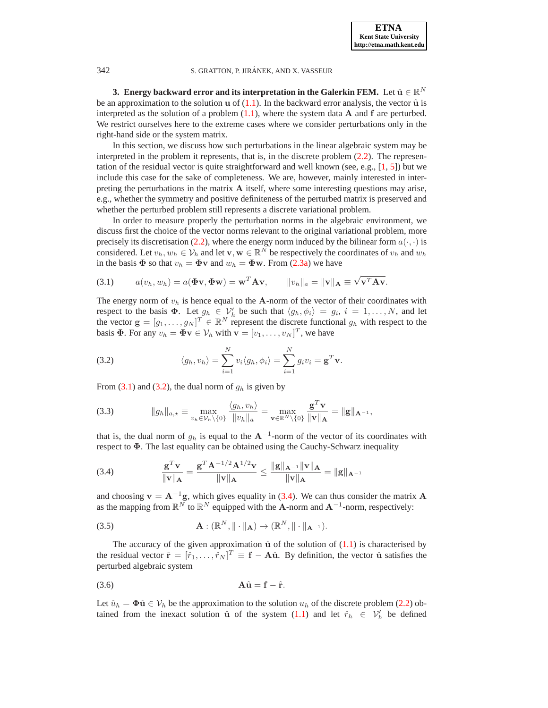<span id="page-4-0"></span>**3. Energy backward error and its interpretation in the Galerkin FEM.** Let  $\hat{\mathbf{u}} \in \mathbb{R}^N$ be an approximation to the solution  $\mathbf u$  of [\(1.1\)](#page-1-0). In the backward error analysis, the vector  $\hat{\mathbf u}$  is interpreted as the solution of a problem  $(1.1)$ , where the system data A and f are perturbed. We restrict ourselves here to the extreme cases where we consider perturbations only in the right-hand side or the system matrix.

In this section, we discuss how such perturbations in the linear algebraic system may be interpreted in the problem it represents, that is, in the discrete problem [\(2.2\)](#page-3-1). The representation of the residual vector is quite straightforward and well known (see, e.g., [\[1,](#page-16-5) [5\]](#page-16-6)) but we include this case for the sake of completeness. We are, however, mainly interested in interpreting the perturbations in the matrix  $\bf{A}$  itself, where some interesting questions may arise, e.g., whether the symmetry and positive definiteness of the perturbed matrix is preserved and whether the perturbed problem still represents a discrete variational problem.

In order to measure properly the perturbation norms in the algebraic environment, we discuss first the choice of the vector norms relevant to the original variational problem, more precisely its discretisation [\(2.2\)](#page-3-1), where the energy norm induced by the bilinear form  $a(\cdot, \cdot)$  is considered. Let  $v_h, w_h \in V_h$  and let  $\mathbf{v}, \mathbf{w} \in \mathbb{R}^N$  be respectively the coordinates of  $v_h$  and  $w_h$ in the basis  $\Phi$  so that  $v_h = \Phi \mathbf{v}$  and  $w_h = \Phi \mathbf{w}$ . From [\(2.3a\)](#page-3-0) we have

<span id="page-4-1"></span>(3.1) 
$$
a(v_h, w_h) = a(\Phi \mathbf{v}, \Phi \mathbf{w}) = \mathbf{w}^T \mathbf{A} \mathbf{v}, \qquad ||v_h||_a = ||\mathbf{v}||_{\mathbf{A}} \equiv \sqrt{\mathbf{v}^T \mathbf{A} \mathbf{v}}.
$$

The energy norm of  $v_h$  is hence equal to the A-norm of the vector of their coordinates with respect to the basis  $\Phi$ . Let  $g_h \in \mathcal{V}'_h$  be such that  $\langle g_h, \phi_i \rangle = g_i$ ,  $i = 1, \ldots, N$ , and let the vector  $\mathbf{g} = [g_1, \dots, g_N]^T \in \mathbb{R}^N$  represent the discrete functional  $g_h$  with respect to the basis **Φ**. For any  $v_h = \Phi \mathbf{v} \in \mathcal{V}_h$  with  $\mathbf{v} = [v_1, \dots, v_N]^T$ , we have

<span id="page-4-2"></span>(3.2) 
$$
\langle g_h, v_h \rangle = \sum_{i=1}^N v_i \langle g_h, \phi_i \rangle = \sum_{i=1}^N g_i v_i = \mathbf{g}^T \mathbf{v}.
$$

<span id="page-4-5"></span>From [\(3.1\)](#page-4-1) and [\(3.2\)](#page-4-2), the dual norm of  $g_h$  is given by

(3.3) 
$$
||g_h||_{a,\star} \equiv \max_{v_h \in \mathcal{V}_h \setminus \{0\}} \frac{\langle g_h, v_h \rangle}{||v_h||_a} = \max_{\mathbf{v} \in \mathbb{R}^N \setminus \{0\}} \frac{\mathbf{g}^T \mathbf{v}}{||\mathbf{v}||_{\mathbf{A}}} = ||\mathbf{g}||_{\mathbf{A}^{-1}},
$$

that is, the dual norm of  $g_h$  is equal to the  $A^{-1}$ -norm of the vector of its coordinates with respect to  $\Phi$ . The last equality can be obtained using the Cauchy-Schwarz inequality

<span id="page-4-3"></span>(3.4) 
$$
\frac{\mathbf{g}^T \mathbf{v}}{\|\mathbf{v}\|_{\mathbf{A}}} = \frac{\mathbf{g}^T \mathbf{A}^{-1/2} \mathbf{A}^{1/2} \mathbf{v}}{\|\mathbf{v}\|_{\mathbf{A}}} \le \frac{\|\mathbf{g}\|_{\mathbf{A}^{-1}} \|\mathbf{v}\|_{\mathbf{A}}}{\|\mathbf{v}\|_{\mathbf{A}}} = \|\mathbf{g}\|_{\mathbf{A}^{-1}}
$$

<span id="page-4-6"></span>and choosing  $\mathbf{v} = \mathbf{A}^{-1}\mathbf{g}$ , which gives equality in [\(3.4\)](#page-4-3). We can thus consider the matrix  $\mathbf{A}$ as the mapping from  $\mathbb{R}^N$  to  $\mathbb{R}^N$  equipped with the A-norm and A<sup>-1</sup>-norm, respectively:

(3.5) 
$$
\mathbf{A}: (\mathbb{R}^N, \|\cdot\|_{\mathbf{A}}) \to (\mathbb{R}^N, \|\cdot\|_{\mathbf{A}^{-1}}).
$$

The accuracy of the given approximation  $\hat{u}$  of the solution of  $(1.1)$  is characterised by the residual vector  $\hat{\mathbf{r}} = [\hat{r}_1, \dots, \hat{r}_N]^T \equiv \mathbf{f} - \mathbf{A}\hat{\mathbf{u}}$ . By definition, the vector  $\hat{\mathbf{u}}$  satisfies the perturbed algebraic system

<span id="page-4-4"></span>
$$
\mathbf{A}\hat{\mathbf{u}} = \mathbf{f} - \hat{\mathbf{r}}.
$$

Let  $\hat{u}_h = \Phi \hat{u} \in V_h$  be the approximation to the solution  $u_h$  of the discrete problem [\(2.2\)](#page-3-1) obtained from the inexact solution  $\hat{u}$  of the system [\(1.1\)](#page-1-0) and let  $\hat{r}_h \in V'_h$  be defined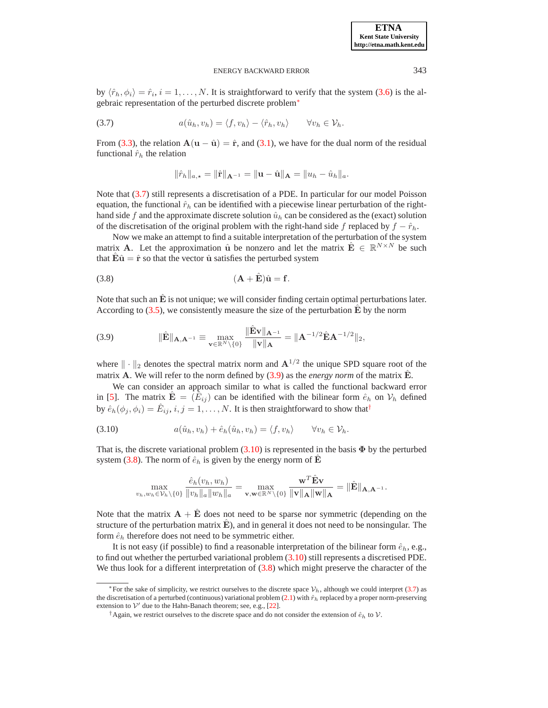by  $\langle \hat{r}_h, \phi_i \rangle = \hat{r}_i, i = 1, \dots, N$ . It is straightforward to verify that the system [\(3.6\)](#page-4-4) is the algebraic representation of the perturbed discrete problem[∗](#page-5-0)

(3.7) 
$$
a(\hat{u}_h, v_h) = \langle f, v_h \rangle - \langle \hat{r}_h, v_h \rangle \quad \forall v_h \in \mathcal{V}_h.
$$

From [\(3.3\)](#page-4-5), the relation  $A(u - \hat{u}) = \hat{r}$ , and [\(3.1\)](#page-4-1), we have for the dual norm of the residual functional  $\hat{r}_h$  the relation

<span id="page-5-5"></span><span id="page-5-2"></span><span id="page-5-1"></span>
$$
\|\hat{r}_h\|_{a,\star} = \|\hat{r}\|_{\mathbf{A}^{-1}} = \|\mathbf{u} - \hat{\mathbf{u}}\|_{\mathbf{A}} = \|u_h - \hat{u}_h\|_{a}.
$$

Note that [\(3.7\)](#page-5-1) still represents a discretisation of a PDE. In particular for our model Poisson equation, the functional  $\hat{r}_h$  can be identified with a piecewise linear perturbation of the righthand side f and the approximate discrete solution  $\hat{u}_h$  can be considered as the (exact) solution of the discretisation of the original problem with the right-hand side f replaced by  $f - \hat{r}_h$ .

Now we make an attempt to find a suitable interpretation of the perturbation of the system matrix **A**. Let the approximation  $\hat{\mathbf{u}}$  be nonzero and let the matrix  $\hat{\mathbf{E}} \in \mathbb{R}^{N \times N}$  be such that  $\mathbf{E}\hat{\mathbf{u}} = \hat{\mathbf{r}}$  so that the vector  $\hat{\mathbf{u}}$  satisfies the perturbed system

$$
(3.8) \qquad \qquad (\mathbf{A} + \hat{\mathbf{E}})\hat{\mathbf{u}} = \mathbf{f}.
$$

Note that such an  $\hat{E}$  is not unique; we will consider finding certain optimal perturbations later. According to [\(3.5\)](#page-4-6), we consistently measure the size of the perturbation  $\hat{E}$  by the norm

(3.9) 
$$
\|\hat{\mathbf{E}}\|_{\mathbf{A},\mathbf{A}^{-1}} \equiv \max_{\mathbf{v} \in \mathbb{R}^N \setminus \{0\}} \frac{\|\hat{\mathbf{E}}\mathbf{v}\|_{\mathbf{A}^{-1}}}{\|\mathbf{v}\|_{\mathbf{A}}} = \|\mathbf{A}^{-1/2}\hat{\mathbf{E}}\mathbf{A}^{-1/2}\|_2,
$$

where  $\|\cdot\|_2$  denotes the spectral matrix norm and  $\mathbf{A}^{1/2}$  the unique SPD square root of the matrix A. We will refer to the norm defined by  $(3.9)$  as the *energy norm* of the matrix  $\hat{E}$ .

We can consider an approach similar to what is called the functional backward error in [\[5\]](#page-16-6). The matrix  $\hat{\mathbf{E}} = (\hat{E}_{ij})$  can be identified with the bilinear form  $\hat{e}_h$  on  $V_h$  defined by  $\hat{e}_h(\phi_j, \phi_i) = \hat{E}_{ij}, i, j = 1, \dots, N$ . It is then straightforward to show that<sup>[†](#page-5-3)</sup>

(3.10) 
$$
a(\hat{u}_h, v_h) + \hat{e}_h(\hat{u}_h, v_h) = \langle f, v_h \rangle \qquad \forall v_h \in \mathcal{V}_h.
$$

That is, the discrete variational problem  $(3.10)$  is represented in the basis  $\Phi$  by the perturbed system [\(3.8\)](#page-5-5). The norm of  $\hat{e}_h$  is given by the energy norm of E

<span id="page-5-4"></span>
$$
\max_{v_h, w_h \in \mathcal{V}_h \setminus \{0\}} \frac{\hat{e}_h(v_h, w_h)}{\|v_h\|_a \|w_h\|_a} = \max_{\mathbf{v}, \mathbf{w} \in \mathbb{R}^N \setminus \{0\}} \frac{\mathbf{w}^T \hat{\mathbf{E}} \mathbf{v}}{\|\mathbf{v}\|_{\mathbf{A}} \|\mathbf{w}\|_{\mathbf{A}}} = \|\hat{\mathbf{E}}\|_{\mathbf{A}, \mathbf{A}^{-1}}.
$$

Note that the matrix  $\mathbf{A} + \mathbf{E}$  does not need to be sparse nor symmetric (depending on the structure of the perturbation matrix  $\hat{E}$ ), and in general it does not need to be nonsingular. The form  $\hat{e}_h$  therefore does not need to be symmetric either.

It is not easy (if possible) to find a reasonable interpretation of the bilinear form  $\hat{e}_h$ , e.g., to find out whether the perturbed variational problem [\(3.10\)](#page-5-4) still represents a discretised PDE. We thus look for a different interpretation of  $(3.8)$  which might preserve the character of the

<span id="page-5-0"></span><sup>&</sup>lt;sup>\*</sup>For the sake of simplicity, we restrict ourselves to the discrete space  $V_h$ , although we could interpret [\(3.7\)](#page-5-1) as the discretisation of a perturbed (continuous) variational problem [\(2.1\)](#page-3-0) with  $\hat{r}_h$  replaced by a proper norm-preserving extension to  $V'$  due to the Hahn-Banach theorem; see, e.g., [\[22\]](#page-17-15).

<span id="page-5-3"></span><sup>&</sup>lt;sup>†</sup>Again, we restrict ourselves to the discrete space and do not consider the extension of  $\hat{e}_h$  to  $V$ .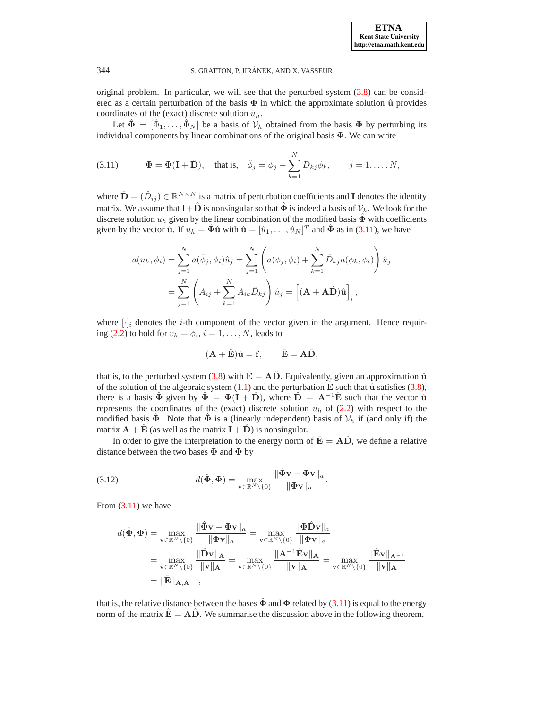original problem. In particular, we will see that the perturbed system [\(3.8\)](#page-5-5) can be considered as a certain perturbation of the basis  $\Phi$  in which the approximate solution  $\hat{u}$  provides coordinates of the (exact) discrete solution  $u_h$ .

Let  $\hat{\Phi} = [\hat{\Phi}_1, \dots, \hat{\Phi}_N]$  be a basis of  $V_h$  obtained from the basis  $\Phi$  by perturbing its individual components by linear combinations of the original basis  $\Phi$ . We can write

(3.11) 
$$
\hat{\Phi} = \Phi(\mathbf{I} + \hat{\mathbf{D}}), \text{ that is, } \hat{\phi}_j = \phi_j + \sum_{k=1}^N \hat{D}_{kj} \phi_k, \quad j = 1, ..., N,
$$

where  $\hat{\mathbf{D}} = (\hat{D}_{ij}) \in \mathbb{R}^{N \times N}$  is a matrix of perturbation coefficients and I denotes the identity matrix. We assume that  $I+\hat{D}$  is nonsingular so that  $\hat{\Phi}$  is indeed a basis of  $\mathcal{V}_h$ . We look for the discrete solution  $u_h$  given by the linear combination of the modified basis  $\Phi$  with coefficients given by the vector  $\hat{\mathbf{u}}$ . If  $u_h = \hat{\mathbf{\Phi}} \hat{\mathbf{u}}$  with  $\hat{\mathbf{u}} = [\hat{u}_1, \dots, \hat{u}_N]^T$  and  $\hat{\mathbf{\Phi}}$  as in [\(3.11\)](#page-6-0), we have

<span id="page-6-0"></span>
$$
a(u_h, \phi_i) = \sum_{j=1}^{N} a(\hat{\phi}_j, \phi_i) \hat{u}_j = \sum_{j=1}^{N} \left( a(\phi_j, \phi_i) + \sum_{k=1}^{N} \hat{D}_{kj} a(\phi_k, \phi_i) \right) \hat{u}_j
$$
  
= 
$$
\sum_{j=1}^{N} \left( A_{ij} + \sum_{k=1}^{N} A_{ik} \hat{D}_{kj} \right) \hat{u}_j = \left[ (\mathbf{A} + \mathbf{A} \hat{\mathbf{D}}) \hat{\mathbf{u}} \right]_i,
$$

where  $[\cdot]_i$  denotes the *i*-th component of the vector given in the argument. Hence requir-ing [\(2.2\)](#page-3-1) to hold for  $v_h = \phi_i$ ,  $i = 1, \dots, N$ , leads to

<span id="page-6-1"></span>
$$
(\mathbf{A} + \hat{\mathbf{E}})\hat{\mathbf{u}} = \mathbf{f}, \qquad \hat{\mathbf{E}} = \mathbf{A}\hat{\mathbf{D}},
$$

that is, to the perturbed system [\(3.8\)](#page-5-5) with  $\hat{E} = A\hat{D}$ . Equivalently, given an approximation  $\hat{u}$ of the solution of the algebraic system  $(1.1)$  and the perturbation E such that  $\hat{u}$  satisfies [\(3.8\)](#page-5-5), there is a basis  $\hat{\Phi}$  given by  $\hat{\Phi} = \Phi(I + \hat{D})$ , where  $\hat{D} = A^{-1}\hat{E}$  such that the vector  $\hat{u}$ represents the coordinates of the (exact) discrete solution  $u<sub>h</sub>$  of [\(2.2\)](#page-3-1) with respect to the modified basis  $\hat{\Phi}$ . Note that  $\hat{\Phi}$  is a (linearly independent) basis of  $\mathcal{V}_h$  if (and only if) the matrix  $\mathbf{A} + \mathbf{\hat{E}}$  (as well as the matrix  $\mathbf{I} + \mathbf{\hat{D}}$ ) is nonsingular.

In order to give the interpretation to the energy norm of  $\mathbf{\hat{E}} = \mathbf{A}\mathbf{\hat{D}}$ , we define a relative distance between the two bases  $\hat{\Phi}$  and  $\Phi$  by

(3.12) 
$$
d(\hat{\Phi}, \Phi) = \max_{\mathbf{v} \in \mathbb{R}^N \setminus \{0\}} \frac{\|\hat{\Phi}\mathbf{v} - \Phi\mathbf{v}\|_a}{\|\Phi\mathbf{v}\|_a}.
$$

From  $(3.11)$  we have

$$
d(\hat{\Phi}, \Phi) = \max_{\mathbf{v} \in \mathbb{R}^N \setminus \{0\}} \frac{\|\hat{\Phi}\mathbf{v} - \Phi\mathbf{v}\|_a}{\|\Phi\mathbf{v}\|_a} = \max_{\mathbf{v} \in \mathbb{R}^N \setminus \{0\}} \frac{\|\Phi\hat{\mathbf{D}}\mathbf{v}\|_a}{\|\Phi\mathbf{v}\|_a}
$$
  
= 
$$
\max_{\mathbf{v} \in \mathbb{R}^N \setminus \{0\}} \frac{\|\hat{\mathbf{D}}\mathbf{v}\|_A}{\|\mathbf{v}\|_A} = \max_{\mathbf{v} \in \mathbb{R}^N \setminus \{0\}} \frac{\|\mathbf{A}^{-1}\hat{\mathbf{E}}\mathbf{v}\|_A}{\|\mathbf{v}\|_A} = \max_{\mathbf{v} \in \mathbb{R}^N \setminus \{0\}} \frac{\|\hat{\mathbf{E}}\mathbf{v}\|_{A^{-1}}}{\|\mathbf{v}\|_A}
$$
  
= 
$$
\|\hat{\mathbf{E}}\|_{\mathbf{A}, \mathbf{A}^{-1}},
$$

that is, the relative distance between the bases  $\hat{\Phi}$  and  $\Phi$  related by [\(3.11\)](#page-6-0) is equal to the energy norm of the matrix  $\hat{\mathbf{E}} = \mathbf{A}\hat{\mathbf{D}}$ . We summarise the discussion above in the following theorem.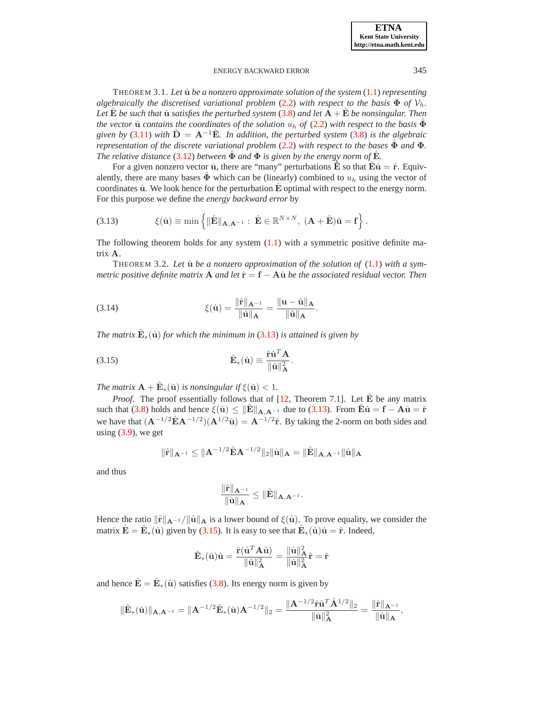<span id="page-7-4"></span>THEOREM 3.1. Let  $\hat{u}$  *be a nonzero approximate solution of the system*  $(1.1)$  *representing algebraically the discretised variational problem* [\(2.2\)](#page-3-1) *with respect to the basis*  $\Phi$  *of*  $V_h$ . *Let*  $\dot{\mathbf{E}}$  *be such that*  $\hat{\mathbf{u}}$  *satisfies the perturbed system* [\(3.8\)](#page-5-5) *and let*  $\mathbf{A} + \dot{\mathbf{E}}$  *be nonsingular. Then the vector*  $\hat{u}$  *contains the coordinates of the solution*  $u_h$  *of* [\(2.2\)](#page-3-1) *with respect to the basis*  $\Phi$ *given by* [\(3.11\)](#page-6-0) *with*  $\hat{\mathbf{D}} = \mathbf{A}^{-1}\hat{\mathbf{E}}$ *. In addition, the perturbed system* [\(3.8\)](#page-5-5) *is the algebraic representation of the discrete variational problem* [\(2.2\)](#page-3-1) *with respect to the bases*  $\hat{\Phi}$  *and*  $\Phi$ *. The relative distance* [\(3.12\)](#page-6-1) *between*  $\hat{\Phi}$  *and*  $\Phi$  *is given by the energy norm of*  $\hat{E}$ *.* 

For a given nonzero vector  $\hat{u}$ , there are "many" perturbations  $\hat{E}$  so that  $\hat{E}\hat{u} = \hat{r}$ . Equivalently, there are many bases  $\hat{\Phi}$  which can be (linearly) combined to  $u_h$  using the vector of coordinates  $\hat{u}$ . We look hence for the perturbation  $\hat{E}$  optimal with respect to the energy norm. For this purpose we define the *energy backward error* by

(3.13) 
$$
\xi(\hat{\mathbf{u}}) \equiv \min \left\{ \|\hat{\mathbf{E}}\|_{\mathbf{A},\mathbf{A}^{-1}} : \ \hat{\mathbf{E}} \in \mathbb{R}^{N \times N}, \ (\mathbf{A} + \hat{\mathbf{E}})\hat{\mathbf{u}} = \mathbf{f} \right\}.
$$

<span id="page-7-3"></span>The following theorem holds for any system  $(1.1)$  with a symmetric positive definite matrix A.

THEOREM 3.2. Let  $\hat{u}$  be a nonzero approximation of the solution of  $(1.1)$  with a sym*metric positive definite matrix* **A** *and let*  $\hat{\mathbf{r}} = \mathbf{f} - \mathbf{A}\hat{\mathbf{u}}$  *be the associated residual vector. Then* 

<span id="page-7-2"></span>(3.14) 
$$
\xi(\hat{\mathbf{u}}) = \frac{\|\hat{\mathbf{r}}\|_{\mathbf{A}^{-1}}}{\|\hat{\mathbf{u}}\|_{\mathbf{A}}} = \frac{\|\mathbf{u} - \hat{\mathbf{u}}\|_{\mathbf{A}}}{\|\hat{\mathbf{u}}\|_{\mathbf{A}}}.
$$

The matrix  $\hat{\mathbf{E}}_{*}(\hat{\mathbf{u}})$  for which the minimum in [\(3.13\)](#page-7-0) is attained is given by

(3.15) 
$$
\hat{\mathbf{E}}_*(\hat{\mathbf{u}}) \equiv \frac{\hat{\mathbf{r}} \hat{\mathbf{u}}^T \mathbf{A}}{\|\hat{\mathbf{u}}\|_{\mathbf{A}}^2}.
$$

*The matrix*  $\mathbf{A} + \hat{\mathbf{E}}_*(\hat{\mathbf{u}})$  *is nonsingular if*  $\xi(\hat{\mathbf{u}}) < 1$ *.* 

*Proof.* The proof essentially follows that of  $[12,$  Theorem 7.1]. Let  $\hat{E}$  be any matrix such that [\(3.8\)](#page-5-5) holds and hence  $\xi(\hat{\mathbf{u}}) \leq ||\hat{\mathbf{E}}||_{\mathbf{A},\mathbf{A}^{-1}}$  due to [\(3.13\)](#page-7-0). From  $\hat{\mathbf{E}}\hat{\mathbf{u}} = \mathbf{f} - \mathbf{A}\hat{\mathbf{u}} = \hat{\mathbf{r}}$ we have that  $(A^{-1/2}\hat{E}A^{-1/2})(A^{1/2}\hat{u}) = A^{-1/2}\hat{r}$ . By taking the 2-norm on both sides and using  $(3.9)$ , we get

$$
\|\hat{\mathbf{r}}\|_{\mathbf{A}^{-1}} \leq \|\mathbf{A}^{-1/2}\hat{\mathbf{E}}\mathbf{A}^{-1/2}\|_2 \|\hat{\mathbf{u}}\|_{\mathbf{A}} = \|\hat{\mathbf{E}}\|_{\mathbf{A},\mathbf{A}^{-1}} \|\hat{\mathbf{u}}\|_{\mathbf{A}}
$$

and thus

<span id="page-7-1"></span>
$$
\frac{\|\hat{\mathbf{r}}\|_{\mathbf{A}^{-1}}}{\|\hat{\mathbf{u}}\|_{\mathbf{A}}}\leq \|\hat{\mathbf{E}}\|_{\mathbf{A},\mathbf{A}^{-1}}.
$$

Hence the ratio  $\|\hat{\mathbf{r}}\|_{\mathbf{A}^{-1}} / \|\hat{\mathbf{u}}\|_{\mathbf{A}}$  is a lower bound of  $\xi(\hat{\mathbf{u}})$ . To prove equality, we consider the matrix  $\hat{\mathbf{E}} = \hat{\mathbf{E}}_*(\hat{\mathbf{u}})$  given by [\(3.15\)](#page-7-1). It is easy to see that  $\hat{\mathbf{E}}_*(\hat{\mathbf{u}})\hat{\mathbf{u}} = \hat{\mathbf{r}}$ . Indeed,

$$
\hat{\mathbf{E}}_*(\hat{\mathbf{u}})\hat{\mathbf{u}}=\frac{\hat{\mathbf{r}}(\hat{\mathbf{u}}^T\mathbf{A}\hat{\mathbf{u}})}{\|\hat{\mathbf{u}}\|_{\mathbf{A}}^2}=\frac{\|\hat{\mathbf{u}}\|_{\mathbf{A}}^2}{\|\hat{\mathbf{u}}\|_{\mathbf{A}}^2}\hat{\mathbf{r}}=\hat{\mathbf{r}}
$$

and hence  $\hat{\mathbf{E}} = \hat{\mathbf{E}}_*(\hat{\mathbf{u}})$  satisfies [\(3.8\)](#page-5-5). Its energy norm is given by

$$
\|\hat{\mathbf{E}}_{*}(\hat{\mathbf{u}})\|_{\mathbf{A},\mathbf{A}^{-1}} = \|\mathbf{A}^{-1/2}\hat{\mathbf{E}}_{*}(\hat{\mathbf{u}})\mathbf{A}^{-1/2}\|_{2} = \frac{\|\mathbf{A}^{-1/2}\hat{\mathbf{r}}\hat{\mathbf{u}}^{T}\hat{\mathbf{A}}^{1/2}\|_{2}}{\|\hat{\mathbf{u}}\|_{\mathbf{A}}^{2}} = \frac{\|\hat{\mathbf{r}}\|_{\mathbf{A}^{-1}}}{\|\hat{\mathbf{u}}\|_{\mathbf{A}}},
$$

<span id="page-7-0"></span>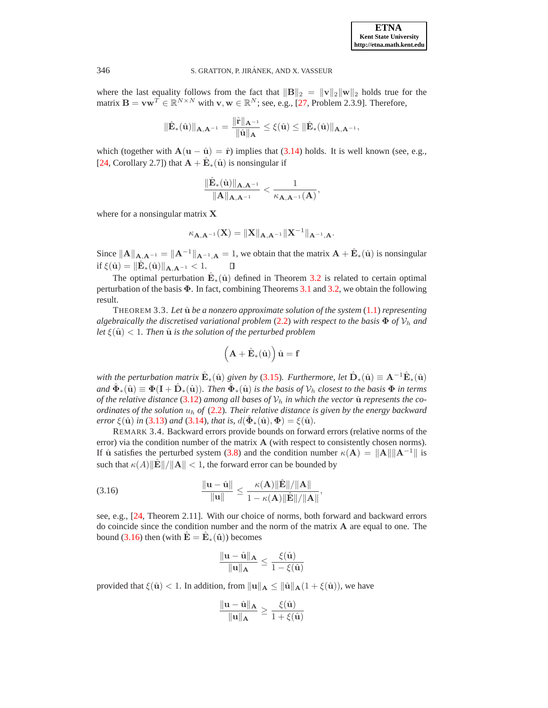where the last equality follows from the fact that  $\|\mathbf{B}\|_2 = \|\mathbf{v}\|_2 \|\mathbf{w}\|_2$  holds true for the matrix  $\mathbf{B} = \mathbf{v}\mathbf{w}^T \in \mathbb{R}^{N \times N}$  with  $\mathbf{v}, \mathbf{w} \in \mathbb{R}^N$ ; see, e.g., [\[27,](#page-17-16) Problem 2.3.9]. Therefore,

$$
\|\hat{\mathbf{E}}_*(\hat{\mathbf{u}})\|_{\mathbf{A},\mathbf{A}^{-1}} = \frac{\|\hat{\mathbf{r}}\|_{\mathbf{A}^{-1}}}{\|\hat{\mathbf{u}}\|_{\mathbf{A}}} \leq \xi(\hat{\mathbf{u}}) \leq \|\hat{\mathbf{E}}_*(\hat{\mathbf{u}})\|_{\mathbf{A},\mathbf{A}^{-1}},
$$

which (together with  $\mathbf{A}(\mathbf{u} - \hat{\mathbf{u}}) = \hat{\mathbf{r}}$ ) implies that [\(3.14\)](#page-7-2) holds. It is well known (see, e.g., [\[24,](#page-17-17) Corollary 2.7]) that  $\mathbf{A} + \hat{\mathbf{E}}_*(\hat{\mathbf{u}})$  is nonsingular if

$$
\frac{\|\hat{\mathbf{E}}_*(\hat{\mathbf{u}})\|_{\mathbf{A},\mathbf{A}^{-1}}}{\|\mathbf{A}\|_{\mathbf{A},\mathbf{A}^{-1}}}<\frac{1}{\kappa_{\mathbf{A},\mathbf{A}^{-1}}(\mathbf{A})},
$$

where for a nonsingular matrix **X** 

$$
\kappa_{\mathbf{A}, \mathbf{A}^{-1}}(\mathbf{X}) = \|\mathbf{X}\|_{\mathbf{A}, \mathbf{A}^{-1}} \|\mathbf{X}^{-1}\|_{\mathbf{A}^{-1}, \mathbf{A}}.
$$

Since  $||A||_{A,A^{-1}} = ||A^{-1}||_{A^{-1},A} = 1$ , we obtain that the matrix  $A + \hat{E}_*(\hat{u})$  is nonsingular if  $\xi(\hat{\mathbf{u}}) = \|\hat{\mathbf{E}}_*(\hat{\mathbf{u}})\|_{\mathbf{A},\mathbf{A}^{-1}} < 1.$ О

The optimal perturbation  $\hat{\mathbf{E}}_*(\hat{\mathbf{u}})$  defined in Theorem [3.2](#page-7-3) is related to certain optimal perturbation of the basis  $\Phi$ . In fact, combining Theorems [3.1](#page-7-4) and [3.2,](#page-7-3) we obtain the following result.

<span id="page-8-1"></span>THEOREM 3.3. Let  $\hat{u}$  *be a nonzero approximate solution of the system*  $(1.1)$  *representing algebraically the discretised variational problem* [\(2.2\)](#page-3-1) *with respect to the basis*  $\Phi$  *of*  $V_h$  *and let*  $\xi(\hat{\mathbf{u}}) < 1$ *. Then*  $\hat{\mathbf{u}}$  *is the solution of the perturbed problem* 

$$
\left(\mathbf{A}+\hat{\mathbf{E}}_{*}(\hat{\mathbf{u}})\right)\hat{\mathbf{u}}=\mathbf{f}
$$

*with the perturbation matrix*  $\hat{\mathbf{E}}_*(\hat{\mathbf{u}})$  given by [\(3.15\)](#page-7-1). Furthermore, let  $\hat{\mathbf{D}}_*(\hat{\mathbf{u}}) \equiv \mathbf{A}^{-1} \hat{\mathbf{E}}_*(\hat{\mathbf{u}})$  $and \hat{\Phi}_*(\hat{\mathbf{u}}) \equiv \Phi(\mathbf{I} + \hat{\mathbf{D}}_*(\hat{\mathbf{u}})).$  *Then*  $\hat{\Phi}_*(\hat{\mathbf{u}})$  *is the basis of*  $\mathcal{V}_h$  *closest to the basis*  $\Phi$  *in terms of the relative distance* [\(3.12\)](#page-6-1) *among all bases of*  $V<sub>h</sub>$  *in which the vector*  $\hat{u}$  *represents the coordinates of the solution*  $u_h$  *of* [\(2.2\)](#page-3-1). Their relative distance is given by the energy backward *error*  $\xi(\hat{\mathbf{u}})$  *in* [\(3.13\)](#page-7-0) *and* [\(3.14\)](#page-7-2)*, that is,*  $d(\hat{\Phi}_*(\hat{\mathbf{u}}), \Phi) = \xi(\hat{\mathbf{u}})$ *.* 

REMARK 3.4. Backward errors provide bounds on forward errors (relative norms of the error) via the condition number of the matrix **A** (with respect to consistently chosen norms). If  $\hat{u}$  satisfies the perturbed system [\(3.8\)](#page-5-5) and the condition number  $\kappa(A) = ||A|| ||A^{-1}||$  is such that  $\kappa(A)\|\hat{\mathbf{E}}\|/\|\mathbf{A}\| < 1$ , the forward error can be bounded by

(3.16) 
$$
\frac{\|\mathbf{u} - \hat{\mathbf{u}}\|}{\|\mathbf{u}\|} \leq \frac{\kappa(\mathbf{A})\|\hat{\mathbf{E}}\|/\|\mathbf{A}\|}{1 - \kappa(\mathbf{A})\|\hat{\mathbf{E}}\|/\|\mathbf{A}\|},
$$

see, e.g., [\[24,](#page-17-17) Theorem 2.11]. With our choice of norms, both forward and backward errors do coincide since the condition number and the norm of the matrix  $A$  are equal to one. The bound [\(3.16\)](#page-8-0) then (with  $\hat{\mathbf{E}} = \hat{\mathbf{E}}_*(\hat{\mathbf{u}})$ ) becomes

<span id="page-8-0"></span>
$$
\frac{\|\mathbf{u} - \hat{\mathbf{u}}\|_{\mathbf{A}}}{\|\mathbf{u}\|_{\mathbf{A}}} \le \frac{\xi(\hat{\mathbf{u}})}{1 - \xi(\hat{\mathbf{u}})}
$$

provided that  $\xi(\hat{\mathbf{u}}) < 1$ . In addition, from  $\|\mathbf{u}\|_{\mathbf{A}} \leq \|\hat{\mathbf{u}}\|_{\mathbf{A}}(1 + \xi(\hat{\mathbf{u}}))$ , we have

$$
\frac{\|\mathbf{u} - \hat{\mathbf{u}}\|_{\mathbf{A}}}{\|\mathbf{u}\|_{\mathbf{A}}} \ge \frac{\xi(\hat{\mathbf{u}})}{1 + \xi(\hat{\mathbf{u}})}
$$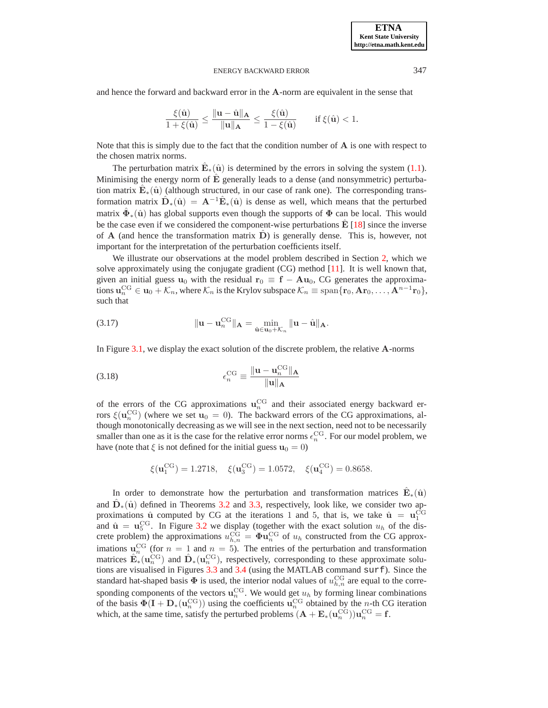and hence the forward and backward error in the A-norm are equivalent in the sense that

$$
\frac{\xi(\hat{\mathbf{u}})}{1+\xi(\hat{\mathbf{u}})} \le \frac{\|\mathbf{u}-\hat{\mathbf{u}}\|_{\mathbf{A}}}{\|\mathbf{u}\|_{\mathbf{A}}} \le \frac{\xi(\hat{\mathbf{u}})}{1-\xi(\hat{\mathbf{u}})} \quad \text{if } \xi(\hat{\mathbf{u}}) < 1.
$$

Note that this is simply due to the fact that the condition number of  $\bf{A}$  is one with respect to the chosen matrix norms.

The perturbation matrix  $\hat{\mathbf{E}}_*(\hat{\mathbf{u}})$  is determined by the errors in solving the system [\(1.1\)](#page-1-0). Minimising the energy norm of  $\hat{E}$  generally leads to a dense (and nonsymmetric) perturbation matrix  $\hat{\mathbf{E}}_*(\hat{\mathbf{u}})$  (although structured, in our case of rank one). The corresponding transformation matrix  $\hat{D}_{*}(\hat{u}) = A^{-1}\hat{E}_{*}(\hat{u})$  is dense as well, which means that the perturbed matrix  $\hat{\Phi}_*(\hat{u})$  has global supports even though the supports of  $\Phi$  can be local. This would be the case even if we considered the component-wise perturbations  $\mathbf{E}$  [\[18\]](#page-17-18) since the inverse of  $\bf{A}$  (and hence the transformation matrix  $\bf{D}$ ) is generally dense. This is, however, not important for the interpretation of the perturbation coefficients itself.

We illustrate our observations at the model problem described in Section [2,](#page-2-0) which we solve approximately using the conjugate gradient  $(CG)$  method [\[11\]](#page-17-13). It is well known that, given an initial guess u<sub>0</sub> with the residual  $r_0 \equiv f - Au_0$ , CG generates the approximations  $\mathbf{u}_n^{\text{CG}} \in \mathbf{u}_0 + \mathcal{K}_n$ , where  $\mathcal{K}_n$  is the Krylov subspace  $\mathcal{K}_n \equiv \text{span}\{\mathbf{r}_0, \mathbf{Ar}_0, \dots, \mathbf{A}^{n-1}\mathbf{r}_0\},$ such that

<span id="page-9-0"></span>(3.17) 
$$
\|\mathbf{u}-\mathbf{u}_n^{\text{CG}}\|_{\mathbf{A}}=\min_{\hat{\mathbf{u}}\in\mathbf{u}_0+\mathcal{K}_n}\|\mathbf{u}-\hat{\mathbf{u}}\|_{\mathbf{A}}.
$$

In Figure [3.1,](#page-10-1) we display the exact solution of the discrete problem, the relative  $\bf{A}$ -norms

(3.18) 
$$
\epsilon_n^{\text{CG}} \equiv \frac{\|\mathbf{u} - \mathbf{u}_n^{\text{CG}}\|_{\mathbf{A}}}{\|\mathbf{u}\|_{\mathbf{A}}}
$$

of the errors of the CG approximations  $\mathbf{u}_n^{\text{CG}}$  and their associated energy backward errors  $\xi(\mathbf{u}_n^{\text{CG}})$  (where we set  $\mathbf{u}_0 = 0$ ). The backward errors of the CG approximations, although monotonically decreasing as we will see in the next section, need not to be necessarily smaller than one as it is the case for the relative error norms  $\epsilon_n^{\text{CG}}$ . For our model problem, we have (note that  $\xi$  is not defined for the initial guess  $\mathbf{u}_0 = 0$ )

<span id="page-9-1"></span>
$$
\xi(\mathbf{u}_1^{\text{CG}}) = 1.2718
$$
,  $\xi(\mathbf{u}_3^{\text{CG}}) = 1.0572$ ,  $\xi(\mathbf{u}_4^{\text{CG}}) = 0.8658$ .

In order to demonstrate how the perturbation and transformation matrices  $\hat{\mathbf{E}}_*(\hat{\mathbf{u}})$ and  $\hat{D}_*(\hat{u})$  defined in Theorems [3.2](#page-7-3) and [3.3,](#page-8-1) respectively, look like, we consider two approximations  $\hat{u}$  computed by CG at the iterations 1 and 5, that is, we take  $\hat{u} = u_1^{\text{CG}}$ and  $\hat{\mathbf{u}} = \mathbf{u}_5^{\text{CG}}$ . In Figure [3.2](#page-10-2) we display (together with the exact solution  $u_h$  of the discrete problem) the approximations  $u_{h,n}^{\text{CG}} = \Phi \mathbf{u}_n^{\text{CG}}$  of  $u_h$  constructed from the CG approximations  $\mathbf{u}_n^{\text{CG}}$  (for  $n = 1$  and  $n = 5$ ). The entries of the perturbation and transformation matrices  $\hat{\mathbf{E}}_*(\mathbf{u}_n^{\text{CG}})$  and  $\hat{\mathbf{D}}_*(\mathbf{u}_n^{\text{CG}})$ , respectively, corresponding to these approximate solutions are visualised in Figures [3.3](#page-11-0) and [3.4](#page-11-1) (using the MATLAB command surf). Since the standard hat-shaped basis  $\Phi$  is used, the interior nodal values of  $u_{h,n}^{\text{CG}}$  are equal to the corresponding components of the vectors  $\mathbf{u}_n^{\text{CG}}$ . We would get  $u_h$  by forming linear combinations of the basis  $\Phi(\mathbf{I} + \mathbf{D}_*(\mathbf{u}_n^{\text{CG}}))$  using the coefficients  $\mathbf{u}_n^{\text{CG}}$  obtained by the *n*-th CG iteration which, at the same time, satisfy the perturbed problems  $(A + E_*(u_n^{\text{CG}}))u_n^{\text{CG}} = f$ .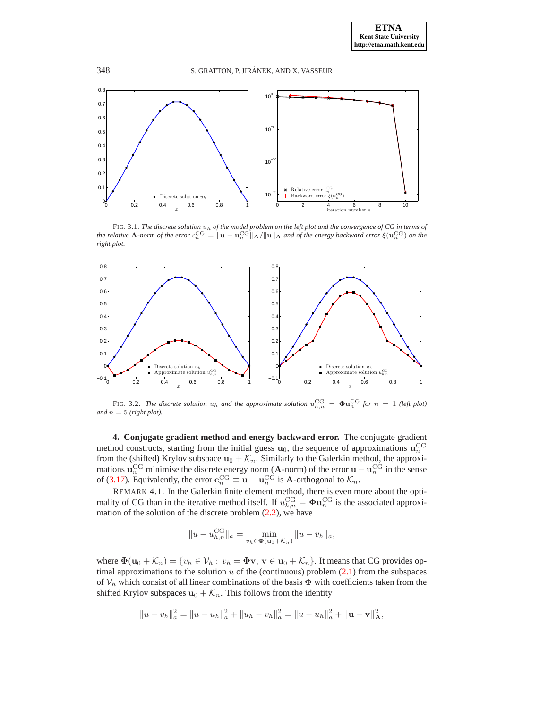

<span id="page-10-1"></span>FIG. 3.1. *The discrete solution* u<sup>h</sup> *of the model problem on the left plot and the convergence of CG in terms of the relative* **A**-norm of the error  $\epsilon_n^{\text{CG}} = \|\mathbf{u} - \mathbf{u}_n^{\text{CG}}\|_{\mathbf{A}} / \|\mathbf{u}\|_{\mathbf{A}}$  and of the energy backward error  $\xi(\mathbf{u}_n^{\text{CG}})$  on the *right plot.*



<span id="page-10-2"></span>FIG. 3.2. *The discrete solution*  $u_h$  *and the approximate solution*  $u_{h,n}^{\text{CG}} = \Phi \mathbf{u}_n^{\text{CG}}$  *for*  $n = 1$  *(left plot)* and  $n = 5$  (right plot).

<span id="page-10-0"></span>**4. Conjugate gradient method and energy backward error.** The conjugate gradient method constructs, starting from the initial guess  $\mathbf{u}_0$ , the sequence of approximations  $\mathbf{u}_n^{\text{CG}}$ from the (shifted) Krylov subspace  $\mathbf{u}_0 + \mathcal{K}_n$ . Similarly to the Galerkin method, the approximations  $\mathbf{u}_n^{\text{CG}}$  minimise the discrete energy norm (**A**-norm) of the error  $\mathbf{u} - \mathbf{u}_n^{\text{CG}}$  in the sense of [\(3.17\)](#page-9-0). Equivalently, the error  $\mathbf{e}_n^{\text{CG}} \equiv \mathbf{u} - \mathbf{u}_n^{\text{CG}}$  is **A**-orthogonal to  $\mathcal{K}_n$ .

REMARK 4.1. In the Galerkin finite element method, there is even more about the optimality of CG than in the iterative method itself. If  $u_{h,n}^{\text{CG}} = \Phi \mathbf{u}_n^{\text{CG}}$  is the associated approximation of the solution of the discrete problem  $(2.2)$ , we have

$$
||u - u_{h,n}^{\text{CG}}||_a = \min_{v_h \in \Phi(\mathbf{u}_0 + \mathcal{K}_n)} ||u - v_h||_a,
$$

where  $\Phi(\mathbf{u}_0 + \mathcal{K}_n) = \{v_h \in \mathcal{V}_h : v_h = \Phi \mathbf{v}, \mathbf{v} \in \mathbf{u}_0 + \mathcal{K}_n\}$ . It means that CG provides optimal approximations to the solution  $u$  of the (continuous) problem  $(2.1)$  from the subspaces of  $V_h$  which consist of all linear combinations of the basis  $\Phi$  with coefficients taken from the shifted Krylov subspaces  $\mathbf{u}_0 + \mathcal{K}_n$ . This follows from the identity

$$
||u - v_h||_a^2 = ||u - u_h||_a^2 + ||u_h - v_h||_a^2 = ||u - u_h||_a^2 + ||\mathbf{u} - \mathbf{v}||_A^2,
$$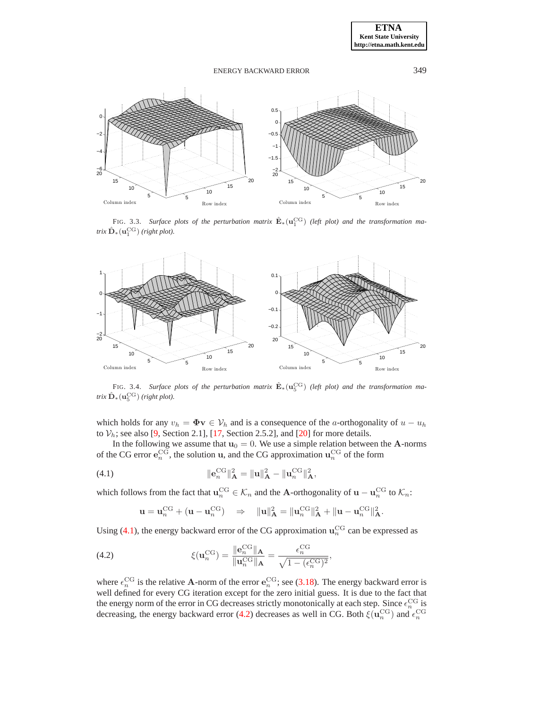

<span id="page-11-0"></span>FIG. 3.3. Surface plots of the perturbation matrix  $\hat{\mathbf{E}}_*(\mathbf{u}_1^{\text{CG}})$  (left plot) and the transformation ma*trix*  $\hat{\mathbf{D}}_{*}(\mathbf{u}_{1}^{\text{CG}})$  (right plot).



<span id="page-11-1"></span>FIG. 3.4. Surface plots of the perturbation matrix  $\hat{\mathbf{E}}_*(\mathbf{u}_5^{\text{CG}})$  (left plot) and the transformation ma*trix*  $\hat{\mathbf{D}}_{*}(\mathbf{u}_{5}^{\text{CG}})$  (right plot).

which holds for any  $v_h = \Phi v \in V_h$  and is a consequence of the a-orthogonality of  $u - u_h$ to  $V_h$ ; see also [\[9,](#page-16-9) Section 2.1], [\[17,](#page-17-5) Section 2.5.2], and [\[20\]](#page-17-12) for more details.

In the following we assume that  $u_0 = 0$ . We use a simple relation between the A-norms of the CG error  $e_n^{\text{CG}}$ , the solution **u**, and the CG approximation  $\mathbf{u}_n^{\text{CG}}$  of the form

(4.1) 
$$
\|\mathbf{e}_{n}^{CG}\|_{\mathbf{A}}^{2} = \|\mathbf{u}\|_{\mathbf{A}}^{2} - \|\mathbf{u}_{n}^{CG}\|_{\mathbf{A}}^{2},
$$

which follows from the fact that  $\mathbf{u}_n^{\text{CG}} \in \mathcal{K}_n$  and the **A**-orthogonality of  $\mathbf{u} - \mathbf{u}_n^{\text{CG}}$  to  $\mathcal{K}_n$ :

<span id="page-11-3"></span><span id="page-11-2"></span>
$$
\mathbf{u} = \mathbf{u}_n^{\mathrm{CG}} + (\mathbf{u} - \mathbf{u}_n^{\mathrm{CG}}) \quad \Rightarrow \quad \|\mathbf{u}\|_{\mathbf{A}}^2 = \|\mathbf{u}_n^{\mathrm{CG}}\|_{\mathbf{A}}^2 + \|\mathbf{u} - \mathbf{u}_n^{\mathrm{CG}}\|_{\mathbf{A}}^2.
$$

Using [\(4.1\)](#page-11-2), the energy backward error of the CG approximation  $\mathbf{u}_n^{\text{CG}}$  can be expressed as

(4.2) 
$$
\xi(\mathbf{u}_n^{\text{CG}}) = \frac{\|\mathbf{e}_n^{\text{CG}}\|_{\mathbf{A}}}{\|\mathbf{u}_n^{\text{CG}}\|_{\mathbf{A}}} = \frac{\epsilon_n^{\text{CG}}}{\sqrt{1 - (\epsilon_n^{\text{CG}})^2}},
$$

where  $\epsilon_n^{\text{CG}}$  is the relative **A**-norm of the error  $\mathbf{e}_n^{\text{CG}}$ ; see [\(3.18\)](#page-9-1). The energy backward error is well defined for every CG iteration except for the zero initial guess. It is due to the fact that the energy norm of the error in CG decreases strictly monotonically at each step. Since  $\epsilon_n^{\text{CG}}$  is decreasing, the energy backward error [\(4.2\)](#page-11-3) decreases as well in CG. Both  $\xi(\mathbf{u}_n^{\text{CG}})$  and  $\epsilon_n^{\text{CG}}$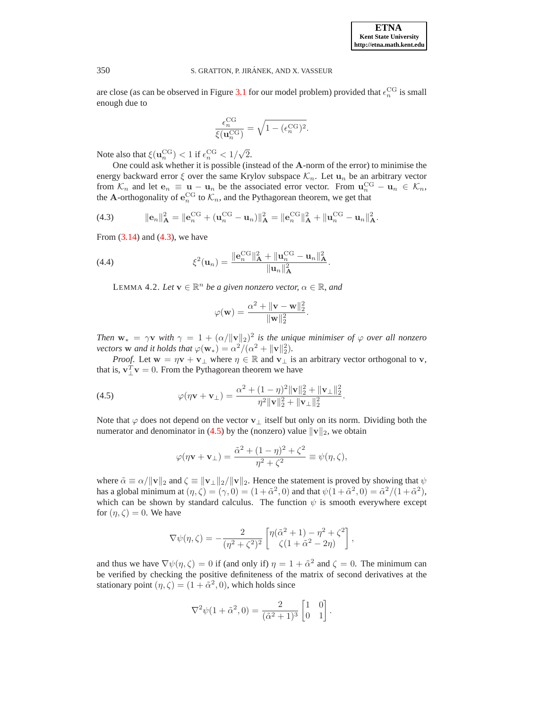are close (as can be observed in Figure [3.1](#page-10-1) for our model problem) provided that  $\epsilon_n^{\text{CG}}$  is small enough due to

<span id="page-12-0"></span>
$$
\frac{\epsilon_n^{\rm CG}}{\xi(\mathbf{u}_n^{\rm CG})}=\sqrt{1-(\epsilon_n^{\rm CG})^2}.
$$

Note also that  $\xi(\mathbf{u}_n^{\text{CG}}) < 1$  if  $\epsilon_n^{\text{CG}} < 1/\sqrt{2}$ .

One could ask whether it is possible (instead of the A-norm of the error) to minimise the energy backward error  $\xi$  over the same Krylov subspace  $\mathcal{K}_n$ . Let  $\mathbf{u}_n$  be an arbitrary vector from  $\mathcal{K}_n$  and let  $\mathbf{e}_n \equiv \mathbf{u} - \mathbf{u}_n$  be the associated error vector. From  $\mathbf{u}_n^{\text{CG}} - \mathbf{u}_n \in \mathcal{K}_n$ , the A-orthogonality of  $e_n^{\text{CG}}$  to  $\mathcal{K}_n$ , and the Pythagorean theorem, we get that

(4.3) 
$$
\|\mathbf{e}_n\|_{\mathbf{A}}^2 = \|\mathbf{e}_n^{\mathbf{CG}} + (\mathbf{u}_n^{\mathbf{CG}} - \mathbf{u}_n)\|_{\mathbf{A}}^2 = \|\mathbf{e}_n^{\mathbf{CG}}\|_{\mathbf{A}}^2 + \|\mathbf{u}_n^{\mathbf{CG}} - \mathbf{u}_n\|_{\mathbf{A}}^2.
$$

From  $(3.14)$  and  $(4.3)$ , we have

(4.4) 
$$
\xi^{2}(\mathbf{u}_{n}) = \frac{\|\mathbf{e}_{n}^{CG}\|_{\mathbf{A}}^{2} + \|\mathbf{u}_{n}^{CG} - \mathbf{u}_{n}\|_{\mathbf{A}}^{2}}{\|\mathbf{u}_{n}\|_{\mathbf{A}}^{2}}.
$$

<span id="page-12-3"></span>LEMMA 4.2. *Let*  $\mathbf{v} \in \mathbb{R}^n$  *be a given nonzero vector,*  $\alpha \in \mathbb{R}$ *, and* 

<span id="page-12-2"></span><span id="page-12-1"></span>
$$
\varphi(\mathbf{w}) = \frac{\alpha^2 + \|\mathbf{v} - \mathbf{w}\|_2^2}{\|\mathbf{w}\|_2^2}.
$$

*Then*  $\mathbf{w}_* = \gamma \mathbf{v}$  *with*  $\gamma = 1 + (\alpha/\|\mathbf{v}\|_2)^2$  *is the unique minimiser of*  $\varphi$  *over all nonzero vectors* **w** *and it holds that*  $\varphi(\mathbf{w}_*) = \alpha^2/(\alpha^2 + ||\mathbf{v}||_2^2)$ .

*Proof.* Let  $w = \eta v + v_{\perp}$  where  $\eta \in \mathbb{R}$  and  $v_{\perp}$  is an arbitrary vector orthogonal to v, that is,  $\mathbf{v}_\perp^T \mathbf{v} = 0$ . From the Pythagorean theorem we have

(4.5) 
$$
\varphi(\eta \mathbf{v} + \mathbf{v}_{\perp}) = \frac{\alpha^2 + (1 - \eta)^2 \|\mathbf{v}\|_2^2 + \|\mathbf{v}_{\perp}\|_2^2}{\eta^2 \|\mathbf{v}\|_2^2 + \|\mathbf{v}_{\perp}\|_2^2}.
$$

Note that  $\varphi$  does not depend on the vector  $\mathbf{v}_{\perp}$  itself but only on its norm. Dividing both the numerator and denominator in [\(4.5\)](#page-12-1) by the (nonzero) value  $\|\mathbf{v}\|_2$ , we obtain

$$
\varphi(\eta \mathbf{v} + \mathbf{v}_{\perp}) = \frac{\tilde{\alpha}^2 + (1 - \eta)^2 + \zeta^2}{\eta^2 + \zeta^2} \equiv \psi(\eta, \zeta),
$$

where  $\tilde{\alpha} \equiv \alpha / ||\mathbf{v}||_2$  and  $\zeta \equiv ||\mathbf{v}_\perp||_2 / ||\mathbf{v}||_2$ . Hence the statement is proved by showing that  $\psi$ has a global minimum at  $(\eta, \zeta) = (\gamma, 0) = (1 + \tilde{\alpha}^2, 0)$  and that  $\psi(1 + \tilde{\alpha}^2, 0) = \tilde{\alpha}^2/(1 + \tilde{\alpha}^2)$ , which can be shown by standard calculus. The function  $\psi$  is smooth everywhere except for  $(\eta, \zeta) = 0$ . We have

$$
\nabla \psi(\eta,\zeta) = -\frac{2}{(\eta^2+\zeta^2)^2} \left[ \begin{array}{c} \eta(\tilde{\alpha}^2+1)-\eta^2+\zeta^2 \\ \zeta(1+\tilde{\alpha}^2-2\eta) \end{array} \right],
$$

and thus we have  $\nabla \psi(\eta, \zeta) = 0$  if (and only if)  $\eta = 1 + \tilde{\alpha}^2$  and  $\zeta = 0$ . The minimum can be verified by checking the positive definiteness of the matrix of second derivatives at the stationary point  $(\eta, \zeta) = (1 + \tilde{\alpha}^2, 0)$ , which holds since

$$
\nabla^2 \psi (1 + \tilde{\alpha}^2, 0) = \frac{2}{(\tilde{\alpha}^2 + 1)^3} \begin{bmatrix} 1 & 0 \\ 0 & 1 \end{bmatrix}.
$$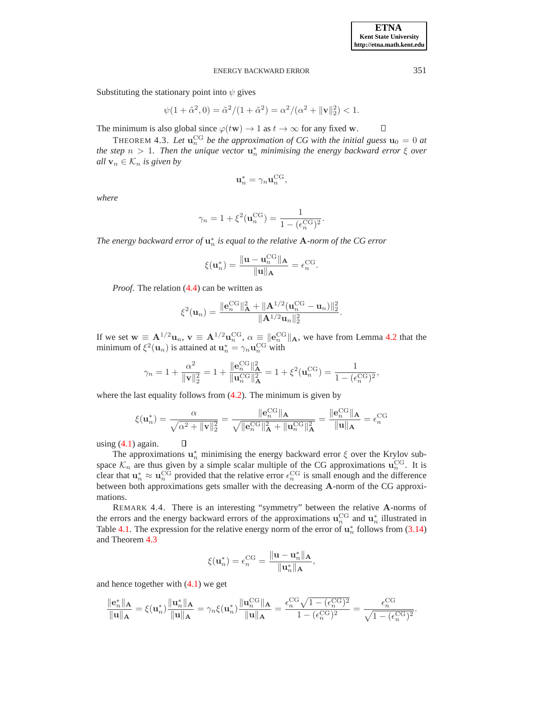Substituting the stationary point into  $\psi$  gives

$$
\psi(1 + \tilde{\alpha}^2, 0) = \tilde{\alpha}^2/(1 + \tilde{\alpha}^2) = \alpha^2/(\alpha^2 + ||\mathbf{v}||_2^2) < 1.
$$

<span id="page-13-0"></span>The minimum is also global since  $\varphi(t\mathbf{w}) \to 1$  as  $t \to \infty$  for any fixed w.  $\Box$ 

THEOREM 4.3. Let  $\mathbf{u}_n^{\text{CG}}$  be the approximation of CG with the initial guess  $\mathbf{u}_0 = 0$  at  $\Delta$ *the step*  $n > 1$ . Then the unique vector  $\mathbf{u}_n^*$  minimising the energy backward error  $\xi$  over *all*  $\mathbf{v}_n \in \mathcal{K}_n$  *is given by* 

$$
\mathbf{u}_n^* = \gamma_n \mathbf{u}_n^{\text{CG}},
$$

*where*

$$
\gamma_n = 1 + \xi^2(\mathbf{u}_n^{\text{CG}}) = \frac{1}{1 - (\epsilon_n^{\text{CG}})^2}.
$$

The energy backward error of  $\mathbf{u}^*_n$  is equal to the relative  $\mathbf A$ -norm of the CG error

$$
\xi(\mathbf{u}_n^*) = \frac{\|\mathbf{u} - \mathbf{u}_n^{\text{CG}}\|_{\mathbf{A}}}{\|\mathbf{u}\|_{\mathbf{A}}} = \epsilon_n^{\text{CG}}.
$$

*Proof.* The relation [\(4.4\)](#page-12-2) can be written as

 $\Box$ 

$$
\xi^{2}(\mathbf{u}_{n}) = \frac{\|\mathbf{e}_{n}^{CG}\|_{\mathbf{A}}^{2} + \|\mathbf{A}^{1/2}(\mathbf{u}_{n}^{CG} - \mathbf{u}_{n})\|_{2}^{2}}{\|\mathbf{A}^{1/2}\mathbf{u}_{n}\|_{2}^{2}}.
$$

If we set  $\mathbf{w} \equiv \mathbf{A}^{1/2} \mathbf{u}_n$ ,  $\mathbf{v} \equiv \mathbf{A}^{1/2} \mathbf{u}_n^{\text{CG}}$ ,  $\alpha \equiv \|\mathbf{e}_n^{\text{CG}}\|_{\mathbf{A}}$ , we have from Lemma [4.2](#page-12-3) that the minimum of  $\xi^2(\mathbf{u}_n)$  is attained at  $\mathbf{u}_n^* = \gamma_n \mathbf{u}_n^{\text{CG}}$  with

$$
\gamma_n=1+\frac{\alpha^2}{\|{\bf v}\|_2^2}=1+\frac{\|{\bf e}_n^{\rm CG}\|_{\bf A}^2}{\|{\bf u}_n^{\rm CG}\|_{\bf A}^2}=1+\xi^2({\bf u}_n^{\rm CG})=\frac{1}{1-(\epsilon_n^{\rm CG})^2},
$$

where the last equality follows from  $(4.2)$ . The minimum is given by

$$
\xi(\mathbf{u}_n^*) = \frac{\alpha}{\sqrt{\alpha^2 + \|\mathbf{v}\|_2^2}} = \frac{\|\mathbf{e}_n^{\text{CG}}\|_{\mathbf{A}}}{\sqrt{\|\mathbf{e}_n^{\text{CG}}\|_{\mathbf{A}}^2 + \|\mathbf{u}_n^{\text{CG}}\|_{\mathbf{A}}^2}} = \frac{\|\mathbf{e}_n^{\text{CG}}\|_{\mathbf{A}}}{\|\mathbf{u}\|_{\mathbf{A}}} = \epsilon_n^{\text{CG}}
$$

using  $(4.1)$  again.

The approximations  $\mathbf{u}_n^*$  minimising the energy backward error  $\xi$  over the Krylov subspace  $\mathcal{K}_n$  are thus given by a simple scalar multiple of the CG approximations  $\mathbf{u}_n^{\text{CG}}$ . It is clear that  $\mathbf{u}_n^* \approx \mathbf{u}_n^{\text{CG}}$  provided that the relative error  $\epsilon_n^{\text{CG}}$  is small enough and the difference between both approximations gets smaller with the decreasing A-norm of the CG approximations.

REMARK 4.4. There is an interesting "symmetry" between the relative A-norms of the errors and the energy backward errors of the approximations  $\mathbf{u}_n^{\text{CG}}$  and  $\mathbf{u}_n^*$  illustrated in Table [4.1.](#page-14-0) The expression for the relative energy norm of the error of  $\mathbf{u}_n^*$  follows from [\(3.14\)](#page-7-2) and Theorem [4.3](#page-13-0)

$$
\xi(\mathbf{u}_n^*) = \epsilon_n^{\text{CG}} = \frac{\|\mathbf{u} - \mathbf{u}_n^*\|_{\mathbf{A}}}{\|\mathbf{u}_n^*\|_{\mathbf{A}}},
$$

and hence together with [\(4.1\)](#page-11-2) we get

$$
\frac{\|\mathbf{e}_n^*\|_{\mathbf{A}}}{\|\mathbf{u}\|_{\mathbf{A}}} = \xi(\mathbf{u}_n^*)\frac{\|\mathbf{u}_n^*\|_{\mathbf{A}}}{\|\mathbf{u}\|_{\mathbf{A}}} = \gamma_n \xi(\mathbf{u}_n^*)\frac{\|\mathbf{u}_n^{\text{CG}}\|_{\mathbf{A}}}{\|\mathbf{u}\|_{\mathbf{A}}} = \frac{\epsilon_n^{\text{CG}}\sqrt{1 - (\epsilon_n^{\text{CG}})^2}}{1 - (\epsilon_n^{\text{CG}})^2} = \frac{\epsilon_n^{\text{CG}}}{\sqrt{1 - (\epsilon_n^{\text{CG}})^2}}.
$$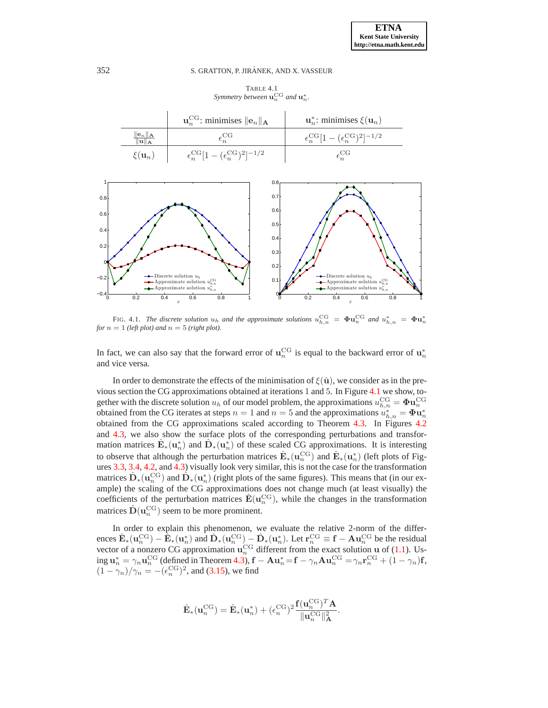0 0.2 0.4 0.6 0.8 1

Discrete solution  $\boldsymbol{u}_h$ Approximate solution  $u_{h,n}^{\text{CG}}$ Approximate solution  $u_{h,n}^*$ <br>Approximate solution  $u_{h,n}^*$ 

### 352 S. GRATTON, P. JIRANEK, AND X. VASSEUR ´

<span id="page-14-0"></span>TABLE 4.1 *Symmetry between*  $\mathbf{u}_n^{\text{CG}}$  and  $\mathbf{u}_n^*$ .





0  $\Omega$  $0.2$ 

<span id="page-14-1"></span>0 0.2 0.4 0.6 0.8 1

Discrete solution  $\bar{u}_h$ Approximate solution  $u_{h,n}^{\text{CG}}$ Approximate solution  $u_{h,n}^*$ 

In fact, we can also say that the forward error of  $\mathbf{u}_n^{\text{CG}}$  is equal to the backward error of  $\mathbf{u}_n^*$ and vice versa.

In order to demonstrate the effects of the minimisation of  $\mathcal{E}(\hat{\mathbf{u}})$ , we consider as in the previous section the CG approximations obtained at iterations 1 and 5. In Figure [4.1](#page-14-1) we show, together with the discrete solution  $u_h$  of our model problem, the approximations  $u_{h,n}^{\text{CG}} = \Phi \mathbf{u}_n^{\text{CG}}$ obtained from the CG iterates at steps  $n = 1$  and  $n = 5$  and the approximations  $u_{h,n}^* = \mathbf{\Phi}\mathbf{u}_n^*$ obtained from the CG approximations scaled according to Theorem [4.3.](#page-13-0) In Figures [4.2](#page-15-0) and [4.3,](#page-15-1) we also show the surface plots of the corresponding perturbations and transformation matrices  $\hat{\mathbf{E}}_*(\mathbf{u}_n^*)$  and  $\hat{\mathbf{D}}_*(\mathbf{u}_n^*)$  of these scaled CG approximations. It is interesting to observe that although the perturbation matrices  $\hat{\mathbf{E}}_*(\mathbf{u}_n^{\mathrm{CG}})$  and  $\hat{\mathbf{E}}_*(\mathbf{u}_n^*)$  (left plots of Figures [3.3,](#page-11-0) [3.4,](#page-11-1) [4.2,](#page-15-0) and [4.3\)](#page-15-1) visually look very similar, this is not the case for the transformation matrices  $\hat{\mathbf{D}}_*(\mathbf{u}_n^{\text{CG}})$  and  $\hat{\mathbf{D}}_*(\mathbf{u}_n^*)$  (right plots of the same figures). This means that (in our example) the scaling of the CG approximations does not change much (at least visually) the coefficients of the perturbation matrices  $\hat{\mathbf{E}}(\mathbf{u}_n^{\text{CG}})$ , while the changes in the transformation matrices  $\hat{\mathbf{D}}(\mathbf{u}_n^{\text{CG}})$  seem to be more prominent.

In order to explain this phenomenon, we evaluate the relative 2-norm of the differences  $\hat{\mathbf{E}}_*(\mathbf{u}_n^{\text{CG}}) - \hat{\mathbf{E}}_*(\mathbf{u}_n^*)$  and  $\hat{\mathbf{D}}_*(\mathbf{u}_n^{\text{CG}}) - \hat{\mathbf{D}}_*(\mathbf{u}_n^*)$ . Let  $\mathbf{r}_n^{\text{CG}} \equiv \mathbf{f} - \mathbf{A}\mathbf{u}_n^{\text{CG}}$  be the residual vector of a nonzero CG approximation  $\mathbf{u}_n^{\text{CG}}$  different from the exact solution  $\mathbf{u}$  of [\(1.1\)](#page-1-0). Using  $\mathbf{u}_n^* = \gamma_n \mathbf{u}_n^{\text{CG}}$  (defined in Theorem [4.3\)](#page-13-0),  $\mathbf{f} - \mathbf{A} \mathbf{u}_n^* = \mathbf{f} - \gamma_n \mathbf{A} \mathbf{u}_n^{\text{CG}} = \gamma_n \mathbf{r}_n^{\text{CG}} + (1 - \gamma_n) \mathbf{f}$ ,  $(1 - \gamma_n)/\gamma_n = -(\epsilon_n^{\text{CG}})^2$ , and [\(3.15\)](#page-7-1), we find

$$
\hat{\mathbf{E}}_*(\mathbf{u}_n^{\mathrm{CG}}) = \hat{\mathbf{E}}_*(\mathbf{u}_n^*) + (\epsilon_n^{\mathrm{CG}})^2 \frac{\mathbf{f}(\mathbf{u}_n^{\mathrm{CG}})^T \mathbf{A}}{\|\mathbf{u}_n^{\mathrm{CG}}\|_{\mathbf{A}}^2}.
$$

−0.4 −0.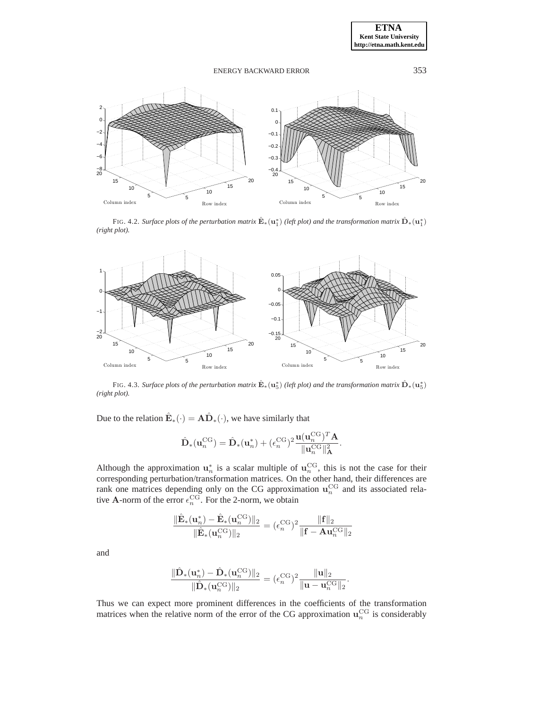

<span id="page-15-0"></span>FIG. 4.2. *Surface plots of the perturbation matrix*  $\hat{\bf E}_*({\bf u}_1^*)$  (left plot) and the transformation matrix  $\hat{\bf D}_*({\bf u}_1^*)$ *(right plot).*



<span id="page-15-1"></span>FIG. 4.3. *Surface plots of the perturbation matrix*  $\hat{\bf E}_*({\bf u}_5^*)$  (left plot) and the transformation matrix  $\hat{\bf D}_*({\bf u}_5^*)$ *(right plot).*

Due to the relation  $\hat{\mathbf{E}}_*(\cdot) = \mathbf{A}\hat{\mathbf{D}}_*(\cdot)$ , we have similarly that

$$
\hat{\mathbf{D}}_{*}(\mathbf{u}_{n}^{\mathrm{CG}}) = \hat{\mathbf{D}}_{*}(\mathbf{u}_{n}^{*}) + (\epsilon_{n}^{\mathrm{CG}})^{2} \frac{\mathbf{u}(\mathbf{u}_{n}^{\mathrm{CG}})^{T} \mathbf{A}}{\|\mathbf{u}_{n}^{\mathrm{CG}}\|_{\mathbf{A}}^{2}}
$$

.

Although the approximation  $\mathbf{u}_n^*$  is a scalar multiple of  $\mathbf{u}_n^{\text{CG}}$ , this is not the case for their corresponding perturbation/transformation matrices. On the other hand, their differences are rank one matrices depending only on the CG approximation  $\mathbf{u}_n^{\text{CG}}$  and its associated relative **A**-norm of the error  $\epsilon_n^{\text{CG}}$ . For the 2-norm, we obtain

$$
\frac{\|\hat{\mathbf{E}}_*(\mathbf{u}^*_n)-\hat{\mathbf{E}}_*(\mathbf{u}^{\mathrm{CG}}_n)\|_2}{\|\hat{\mathbf{E}}_*(\mathbf{u}^{\mathrm{CG}}_n)\|_2}=(\epsilon^{\mathrm{CG}}_n)^2\frac{\|\mathbf{f}\|_2}{\|\mathbf{f}-\mathbf{A}\mathbf{u}^{\mathrm{CG}}_n\|_2}
$$

and

$$
\frac{\lVert \hat{\mathbf{D}}_{*}(\mathbf{u}^*_n)-\hat{\mathbf{D}}_{*}(\mathbf{u}^{\text{CG}}_n)\rVert_2}{\lVert \hat{\mathbf{D}}_{*}(\mathbf{u}^{\text{CG}}_n)\rVert_2}=(\epsilon_n^{\text{CG}})^2\frac{\lVert \mathbf{u}\rVert_2}{\lVert \mathbf{u}-\mathbf{u}^{\text{CG}}_n\rVert_2}.
$$

Thus we can expect more prominent differences in the coefficients of the transformation matrices when the relative norm of the error of the CG approximation  $\mathbf{u}_n^{\text{CG}}$  is considerably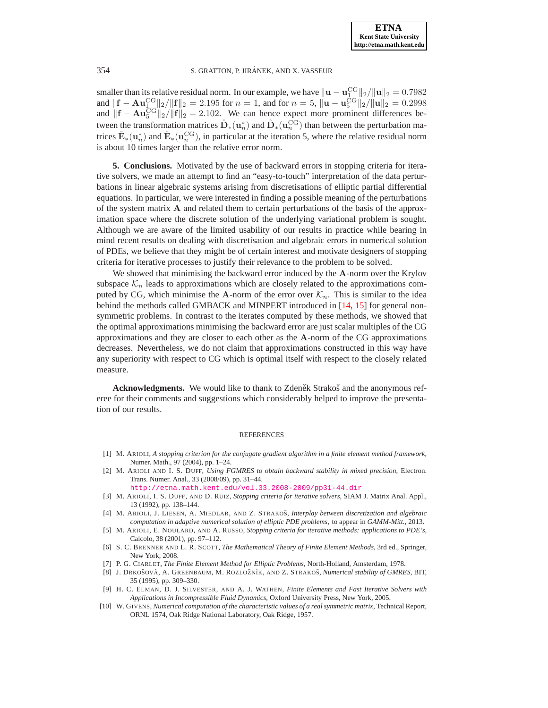smaller than its relative residual norm. In our example, we have  $\|\mathbf{u} - \mathbf{u}_{\text{C}}^{\text{CG}}\|_2 / \|\mathbf{u}\|_2 = 0.7982$ and  $\|\mathbf{f} - \mathbf{A}\mathbf{u}_{1}^{\text{CG}}\|_{2}/\|\mathbf{f}\|_{2} = 2.195$  for  $n = 1$ , and for  $n = 5$ ,  $\|\mathbf{u} - \mathbf{u}_{5}^{\text{CG}}\|_{2}/\|\mathbf{u}\|_{2} = 0.2998$ and  $\|\mathbf{f} - \mathbf{A} \mathbf{u}_5^{\text{CG}}\|_2 / \|\mathbf{f}\|_2 = 2.102$ . We can hence expect more prominent differences between the transformation matrices  $\hat{\mathbf{D}}_*(\mathbf{u}_n^*)$  and  $\hat{\mathbf{D}}_*(\mathbf{u}_n^{\text{CG}})$  than between the perturbation matrices  $\hat{\mathbf{E}}_*(\mathbf{u}_n^*)$  and  $\hat{\mathbf{E}}_*(\mathbf{u}_n^{\text{CG}})$ , in particular at the iteration 5, where the relative residual norm is about 10 times larger than the relative error norm.

**5. Conclusions.** Motivated by the use of backward errors in stopping criteria for iterative solvers, we made an attempt to find an "easy-to-touch" interpretation of the data perturbations in linear algebraic systems arising from discretisations of elliptic partial differential equations. In particular, we were interested in finding a possible meaning of the perturbations of the system matrix A and related them to certain perturbations of the basis of the approximation space where the discrete solution of the underlying variational problem is sought. Although we are aware of the limited usability of our results in practice while bearing in mind recent results on dealing with discretisation and algebraic errors in numerical solution of PDEs, we believe that they might be of certain interest and motivate designers of stopping criteria for iterative processes to justify their relevance to the problem to be solved.

We showed that minimising the backward error induced by the A-norm over the Krylov subspace  $\mathcal{K}_n$  leads to approximations which are closely related to the approximations computed by CG, which minimise the A-norm of the error over  $\mathcal{K}_n$ . This is similar to the idea behind the methods called GMBACK and MINPERT introduced in [\[14,](#page-17-19) [15\]](#page-17-20) for general nonsymmetric problems. In contrast to the iterates computed by these methods, we showed that the optimal approximations minimising the backward error are just scalar multiples of the CG approximations and they are closer to each other as the A-norm of the CG approximations decreases. Nevertheless, we do not claim that approximations constructed in this way have any superiority with respect to CG which is optimal itself with respect to the closely related measure.

Acknowledgments. We would like to thank to Zdeněk Strakoš and the anonymous referee for their comments and suggestions which considerably helped to improve the presentation of our results.

#### **REFERENCES**

- <span id="page-16-5"></span>[1] M. ARIOLI, *A stopping criterion for the conjugate gradient algorithm in a finite element method framework*, Numer. Math., 97 (2004), pp. 1–24.
- <span id="page-16-2"></span>[2] M. ARIOLI AND I. S. DUFF, *Using FGMRES to obtain backward stability in mixed precision*, Electron. Trans. Numer. Anal., 33 (2008/09), pp. 31–44.
	- <http://etna.math.kent.edu/vol.33.2008-2009/pp31-44.dir>
- <span id="page-16-1"></span>[3] M. ARIOLI, I. S. DUFF, AND D. RUIZ, *Stopping criteria for iterative solvers*, SIAM J. Matrix Anal. Appl., 13 (1992), pp. 138–144.
- <span id="page-16-4"></span>[4] M. ARIOLI, J. LIESEN, A. MIEDLAR, AND Z. STRAKOSˇ, *Interplay between discretization and algebraic computation in adaptive numerical solution of elliptic PDE problems*, to appear in *GAMM-Mitt.*, 2013.
- <span id="page-16-6"></span>[5] M. ARIOLI, E. NOULARD, AND A. RUSSO, *Stopping criteria for iterative methods: applications to PDE's*, Calcolo, 38 (2001), pp. 97–112.
- <span id="page-16-7"></span>[6] S. C. BRENNER AND L. R. SCOTT, *The Mathematical Theory of Finite Element Methods*, 3rd ed., Springer, New York, 2008.
- <span id="page-16-8"></span><span id="page-16-3"></span>[7] P. G. CIARLET, *The Finite Element Method for Elliptic Problems*, North-Holland, Amsterdam, 1978.
- [8] J. DRKOŠOVÁ, A. GREENBAUM, M. ROZLOŽNÍK, AND Z. STRAKOŠ, *Numerical stability of GMRES*, BIT, 35 (1995), pp. 309–330.
- <span id="page-16-9"></span>[9] H. C. ELMAN, D. J. SILVESTER, AND A. J. WATHEN, *Finite Elements and Fast Iterative Solvers with Applications in Incompressible Fluid Dynamics*, Oxford University Press, New York, 2005.
- <span id="page-16-0"></span>[10] W. GIVENS, *Numerical computation of the characteristic values of a real symmetric matrix*, Technical Report, ORNL 1574, Oak Ridge National Laboratory, Oak Ridge, 1957.